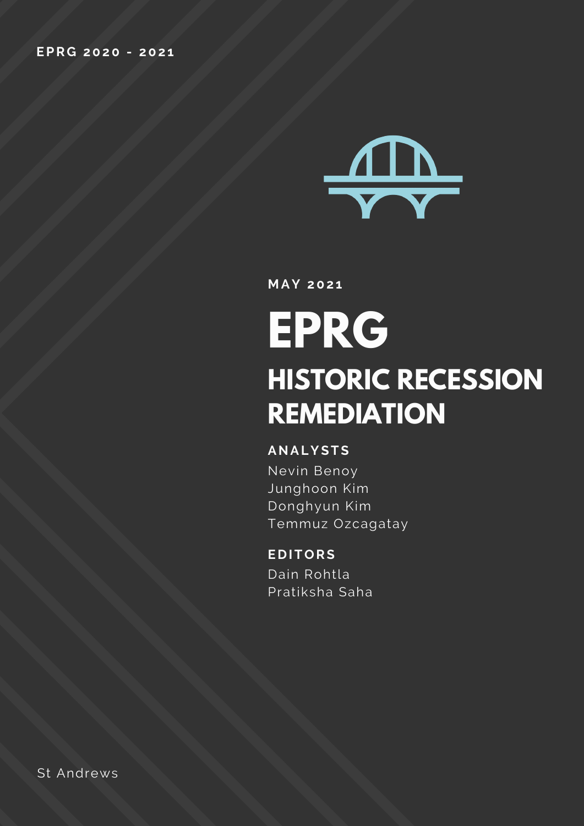

**M AY 202 1**

# **EPRG HISTORIC RECESSION REMEDIATION**

#### **ANALYSTS**

Nevin Benoy Junghoon Kim Donghyun Kim Temmuz Ozcagatay

#### **E D ITORS**

Dain Rohtla Pratiksha Saha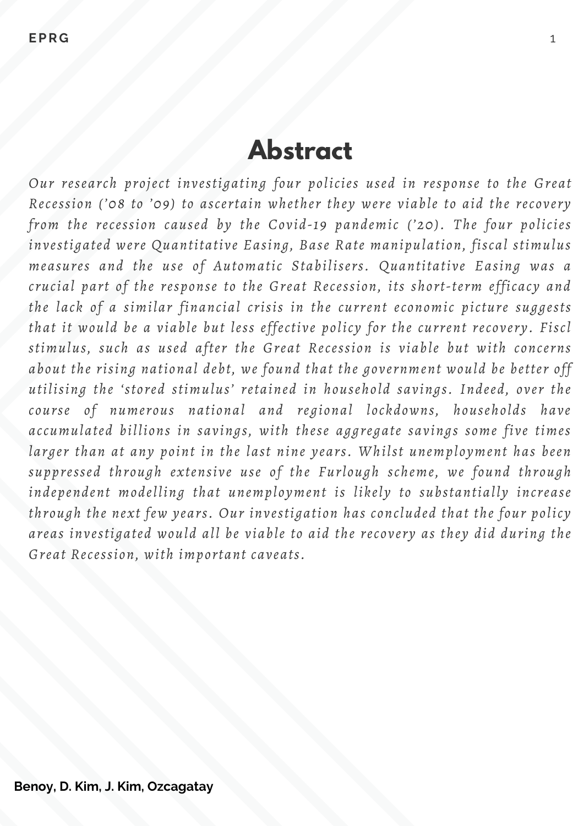### **Abstract**

*Our research project investigating four policies used in response to the Great Recession ('08 to '09) to ascertain whether they were viable to aid the recovery from the recession caused by the Covid-19 pandemic ('20). The four policies investigated were Quantitative Easing, Base Rate manipulation, fiscal stimulus measures and the use of Automatic Stabilisers. Quantitative Easing was a crucial part of the response to the Great Recession, its short-term efficacy and the lack of a similar financial crisis in the current economic picture suggests that it would be a viable but less effective policy for the current recovery. Fiscl stimulus, such as used after the Great Recession is viable but with concerns about the rising national debt, we found that the government would be better off utilising the 'stored stimulus' retained in household savings. Indeed, over the course of numerous national and regional lockdowns, households have accumulated billions in savings, with these aggregate savings some five times larger than at any point in the last nine years. Whilst unemployment has been suppressed through extensive use of the Furlough scheme, we found through independent modelling that unemployment is likely to substantially increase through the next few years. Our investigation has concluded that the four policy areas investigated would all be viable to aid the recovery as they did during the Great Recession, with important caveats.*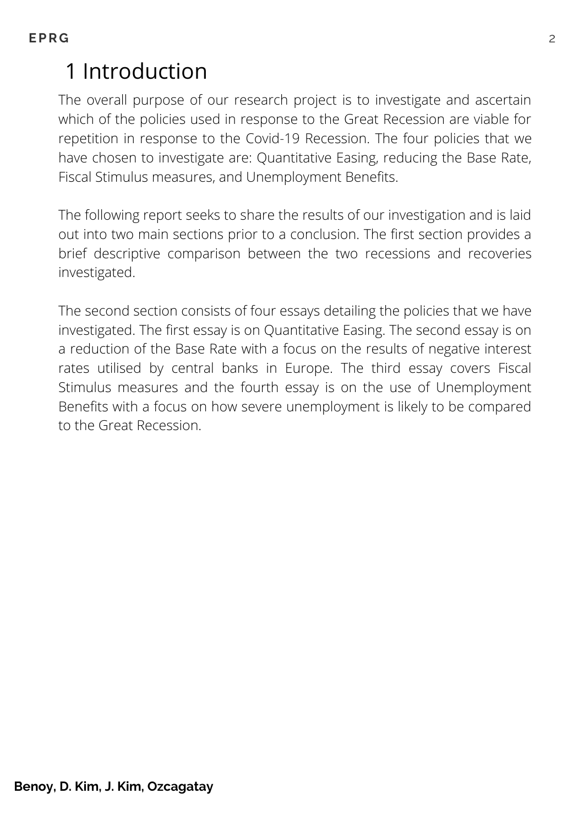# 1 Introduction

The overall purpose of our research project is to investigate and ascertain which of the policies used in response to the Great Recession are viable for repetition in response to the Covid-19 Recession. The four policies that we have chosen to investigate are: Quantitative Easing, reducing the Base Rate, Fiscal Stimulus measures, and Unemployment Benefits.

The following report seeks to share the results of our investigation and is laid out into two main sections prior to a conclusion. The first section provides a brief descriptive comparison between the two recessions and recoveries investigated.

The second section consists of four essays detailing the policies that we have investigated. The first essay is on Quantitative Easing. The second essay is on a reduction of the Base Rate with a focus on the results of negative interest rates utilised by central banks in Europe. The third essay covers Fiscal Stimulus measures and the fourth essay is on the use of Unemployment Benefits with a focus on how severe unemployment is likely to be compared to the Great Recession.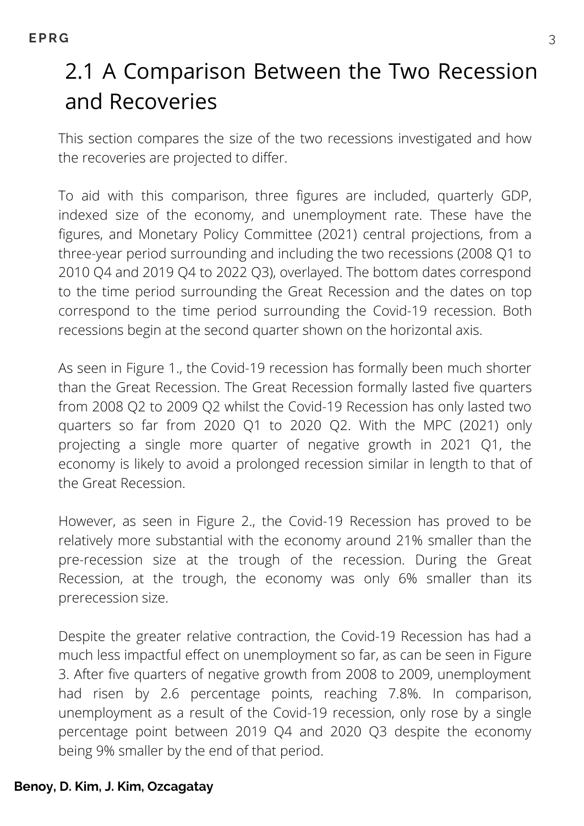# 2.1 A Comparison Between the Two Recession and Recoveries

This section compares the size of the two recessions investigated and how the recoveries are projected to differ.

To aid with this comparison, three figures are included, quarterly GDP, indexed size of the economy, and unemployment rate. These have the figures, and Monetary Policy Committee (2021) central projections, from a three-year period surrounding and including the two recessions (2008 Q1 to 2010 Q4 and 2019 Q4 to 2022 Q3), overlayed. The bottom dates correspond to the time period surrounding the Great Recession and the dates on top correspond to the time period surrounding the Covid-19 recession. Both recessions begin at the second quarter shown on the horizontal axis.

As seen in Figure 1., the Covid-19 recession has formally been much shorter than the Great Recession. The Great Recession formally lasted five quarters from 2008 Q2 to 2009 Q2 whilst the Covid-19 Recession has only lasted two quarters so far from 2020 Q1 to 2020 Q2. With the MPC (2021) only projecting a single more quarter of negative growth in 2021 Q1, the economy is likely to avoid a prolonged recession similar in length to that of the Great Recession.

However, as seen in Figure 2., the Covid-19 Recession has proved to be relatively more substantial with the economy around 21% smaller than the pre-recession size at the trough of the recession. During the Great Recession, at the trough, the economy was only 6% smaller than its prerecession size.

Despite the greater relative contraction, the Covid-19 Recession has had a much less impactful effect on unemployment so far, as can be seen in Figure 3. After five quarters of negative growth from 2008 to 2009, unemployment had risen by 2.6 percentage points, reaching 7.8%. In comparison, unemployment as a result of the Covid-19 recession, only rose by a single percentage point between 2019 Q4 and 2020 Q3 despite the economy being 9% smaller by the end of that period.

#### **Benoy, D. Kim, J. Kim, Ozcagatay**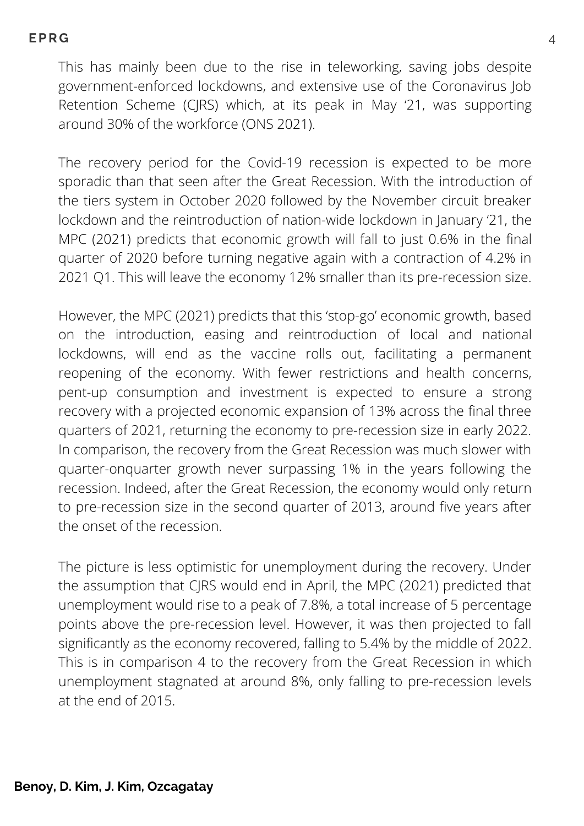This has mainly been due to the rise in teleworking, saving jobs despite government-enforced lockdowns, and extensive use of the Coronavirus Job Retention Scheme (CJRS) which, at its peak in May '21, was supporting around 30% of the workforce (ONS 2021).

The recovery period for the Covid-19 recession is expected to be more sporadic than that seen after the Great Recession. With the introduction of the tiers system in October 2020 followed by the November circuit breaker lockdown and the reintroduction of nation-wide lockdown in January '21, the MPC (2021) predicts that economic growth will fall to just 0.6% in the final quarter of 2020 before turning negative again with a contraction of 4.2% in 2021 Q1. This will leave the economy 12% smaller than its pre-recession size.

However, the MPC (2021) predicts that this 'stop-go' economic growth, based on the introduction, easing and reintroduction of local and national lockdowns, will end as the vaccine rolls out, facilitating a permanent reopening of the economy. With fewer restrictions and health concerns, pent-up consumption and investment is expected to ensure a strong recovery with a projected economic expansion of 13% across the final three quarters of 2021, returning the economy to pre-recession size in early 2022. In comparison, the recovery from the Great Recession was much slower with quarter-onquarter growth never surpassing 1% in the years following the recession. Indeed, after the Great Recession, the economy would only return to pre-recession size in the second quarter of 2013, around five years after the onset of the recession.

The picture is less optimistic for unemployment during the recovery. Under the assumption that CJRS would end in April, the MPC (2021) predicted that unemployment would rise to a peak of 7.8%, a total increase of 5 percentage points above the pre-recession level. However, it was then projected to fall significantly as the economy recovered, falling to 5.4% by the middle of 2022. This is in comparison 4 to the recovery from the Great Recession in which unemployment stagnated at around 8%, only falling to pre-recession levels at the end of 2015.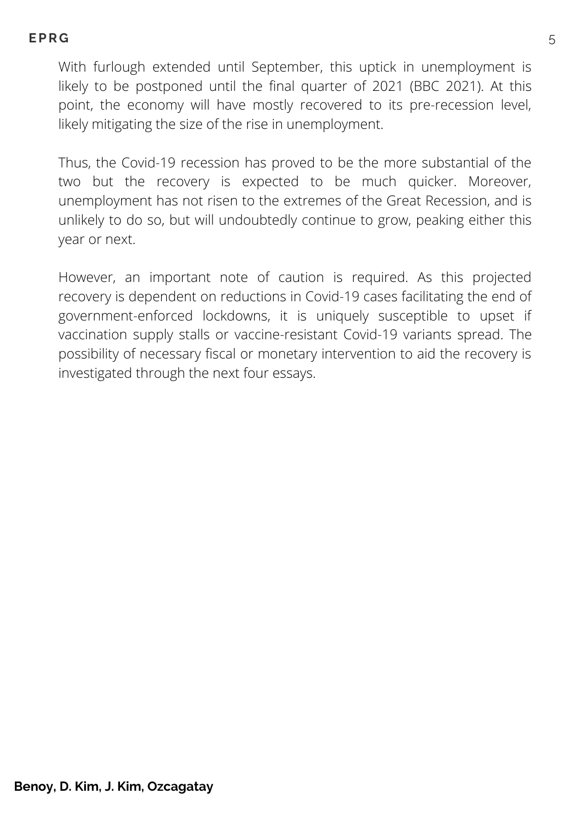With furlough extended until September, this uptick in unemployment is likely to be postponed until the final quarter of 2021 (BBC 2021). At this point, the economy will have mostly recovered to its pre-recession level, likely mitigating the size of the rise in unemployment.

Thus, the Covid-19 recession has proved to be the more substantial of the two but the recovery is expected to be much quicker. Moreover, unemployment has not risen to the extremes of the Great Recession, and is unlikely to do so, but will undoubtedly continue to grow, peaking either this year or next.

However, an important note of caution is required. As this projected recovery is dependent on reductions in Covid-19 cases facilitating the end of government-enforced lockdowns, it is uniquely susceptible to upset if vaccination supply stalls or vaccine-resistant Covid-19 variants spread. The possibility of necessary fiscal or monetary intervention to aid the recovery is investigated through the next four essays.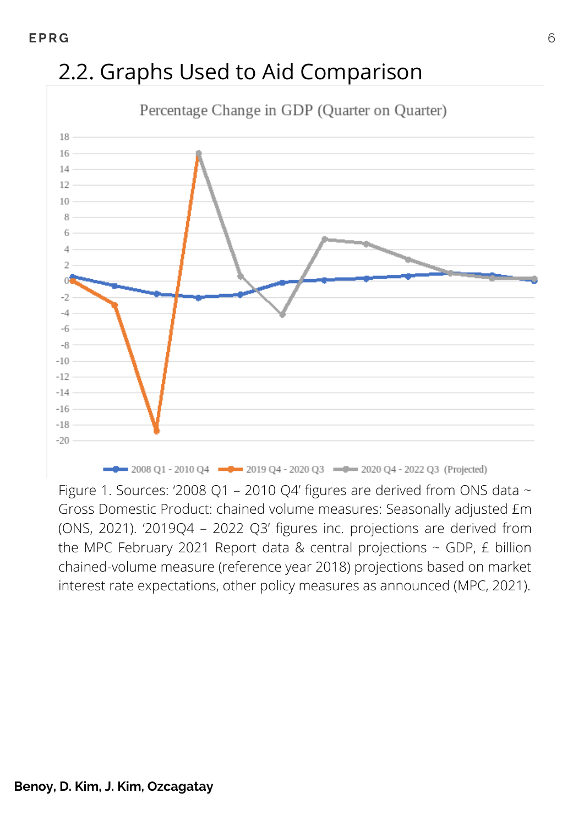# 2.2. Graphs Used to Aid Comparison



-0 2008 Q1 - 2010 Q4 -0 2019 Q4 - 2020 Q3 -0 -2020 Q4 - 2022 Q3 (Projected)

Figure 1. Sources: '2008 Q1 – 2010 Q4' figures are derived from ONS data  $\sim$ Gross Domestic Product: chained volume measures: Seasonally adjusted £m (ONS, 2021). '2019Q4 – 2022 Q3' figures inc. projections are derived from the MPC February 2021 Report data & central projections  $\sim$  GDP, £ billion chained-volume measure (reference year 2018) projections based on market interest rate expectations, other policy measures as announced (MPC, 2021).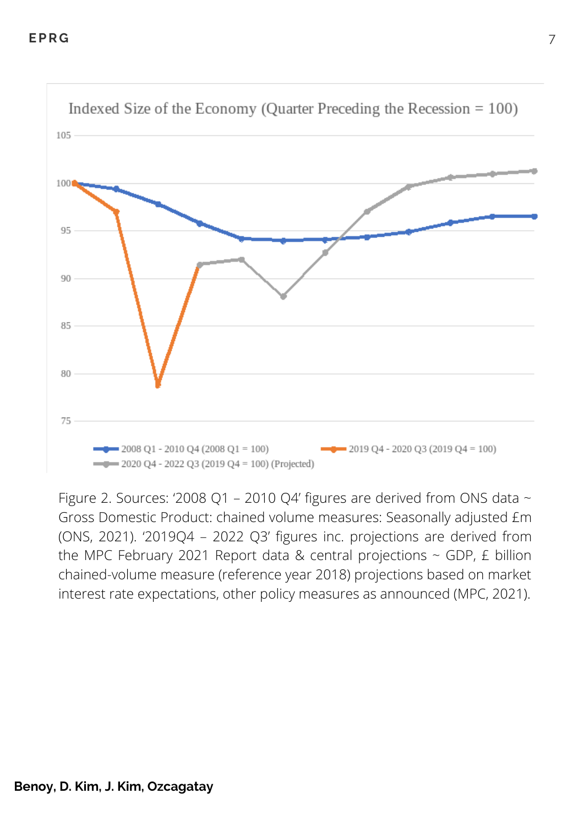

Figure 2. Sources: '2008 Q1 – 2010 Q4' figures are derived from ONS data  $\sim$ Gross Domestic Product: chained volume measures: Seasonally adjusted £m (ONS, 2021). '2019Q4 – 2022 Q3' figures inc. projections are derived from the MPC February 2021 Report data & central projections  $\sim$  GDP, £ billion chained-volume measure (reference year 2018) projections based on market interest rate expectations, other policy measures as announced (MPC, 2021).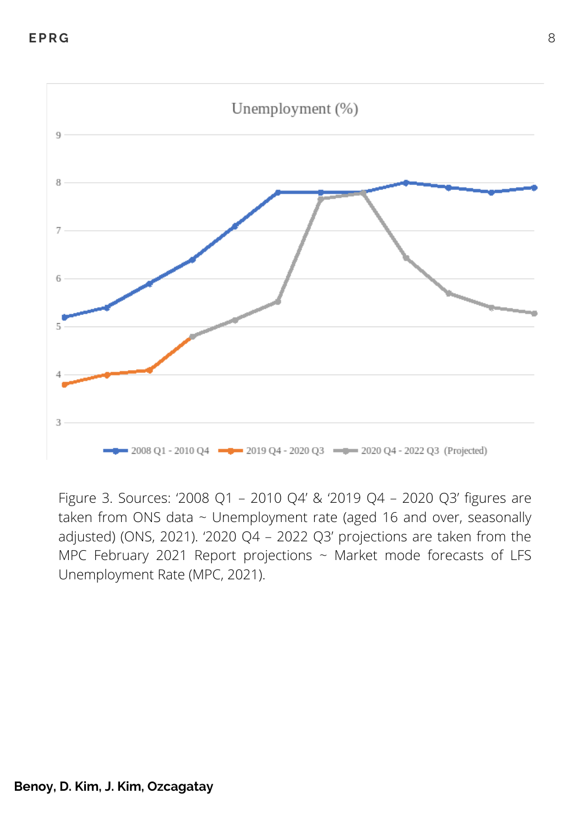

Figure 3. Sources: '2008 Q1 – 2010 Q4' & '2019 Q4 – 2020 Q3' figures are taken from ONS data ~ Unemployment rate (aged 16 and over, seasonally adjusted) (ONS, 2021). '2020 Q4 – 2022 Q3' projections are taken from the MPC February 2021 Report projections  $\sim$  Market mode forecasts of LFS Unemployment Rate (MPC, 2021).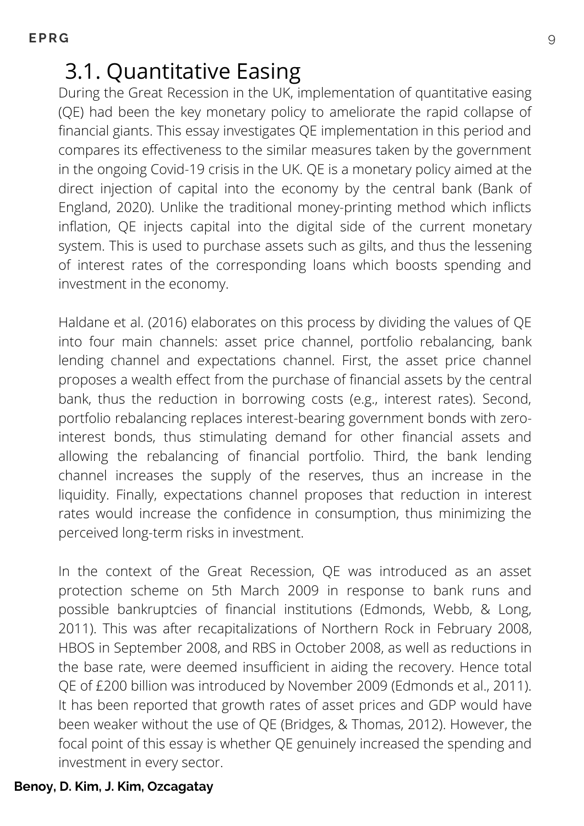### 3.1. Quantitative Easing

During the Great Recession in the UK, implementation of quantitative easing (QE) had been the key monetary policy to ameliorate the rapid collapse of financial giants. This essay investigates QE implementation in this period and compares its effectiveness to the similar measures taken by the government in the ongoing Covid-19 crisis in the UK. QE is a monetary policy aimed at the direct injection of capital into the economy by the central bank (Bank of England, 2020). Unlike the traditional money-printing method which inflicts inflation, QE injects capital into the digital side of the current monetary system. This is used to purchase assets such as gilts, and thus the lessening of interest rates of the corresponding loans which boosts spending and investment in the economy.

Haldane et al. (2016) elaborates on this process by dividing the values of QE into four main channels: asset price channel, portfolio rebalancing, bank lending channel and expectations channel. First, the asset price channel proposes a wealth effect from the purchase of financial assets by the central bank, thus the reduction in borrowing costs (e.g., interest rates). Second, portfolio rebalancing replaces interest-bearing government bonds with zerointerest bonds, thus stimulating demand for other financial assets and allowing the rebalancing of financial portfolio. Third, the bank lending channel increases the supply of the reserves, thus an increase in the liquidity. Finally, expectations channel proposes that reduction in interest rates would increase the confidence in consumption, thus minimizing the perceived long-term risks in investment.

In the context of the Great Recession, QE was introduced as an asset protection scheme on 5th March 2009 in response to bank runs and possible bankruptcies of financial institutions (Edmonds, Webb, & Long, 2011). This was after recapitalizations of Northern Rock in February 2008, HBOS in September 2008, and RBS in October 2008, as well as reductions in the base rate, were deemed insufficient in aiding the recovery. Hence total QE of £200 billion was introduced by November 2009 (Edmonds et al., 2011). It has been reported that growth rates of asset prices and GDP would have been weaker without the use of QE (Bridges, & Thomas, 2012). However, the focal point of this essay is whether QE genuinely increased the spending and investment in every sector.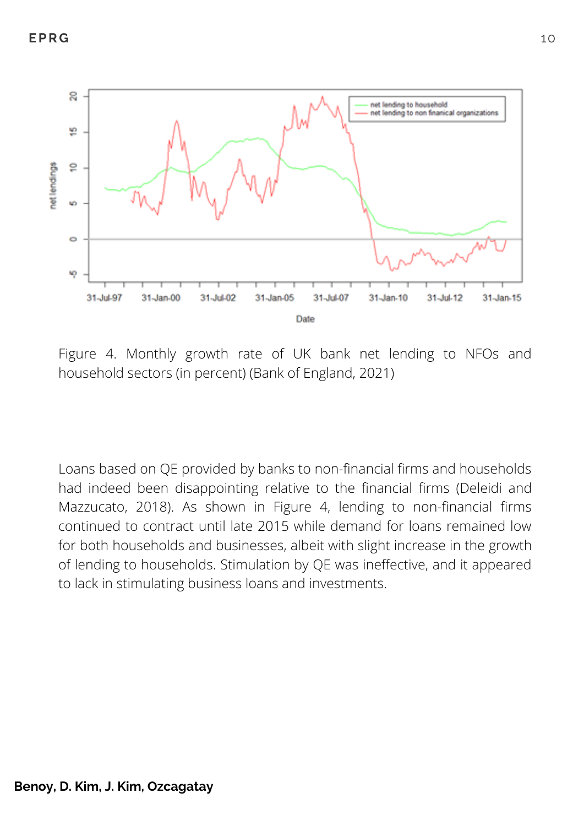

Figure 4. Monthly growth rate of UK bank net lending to NFOs and household sectors (in percent) (Bank of England, 2021)

Loans based on QE provided by banks to non-financial firms and households had indeed been disappointing relative to the financial firms (Deleidi and Mazzucato, 2018). As shown in Figure 4, lending to non-financial firms continued to contract until late 2015 while demand for loans remained low for both households and businesses, albeit with slight increase in the growth of lending to households. Stimulation by QE was ineffective, and it appeared to lack in stimulating business loans and investments.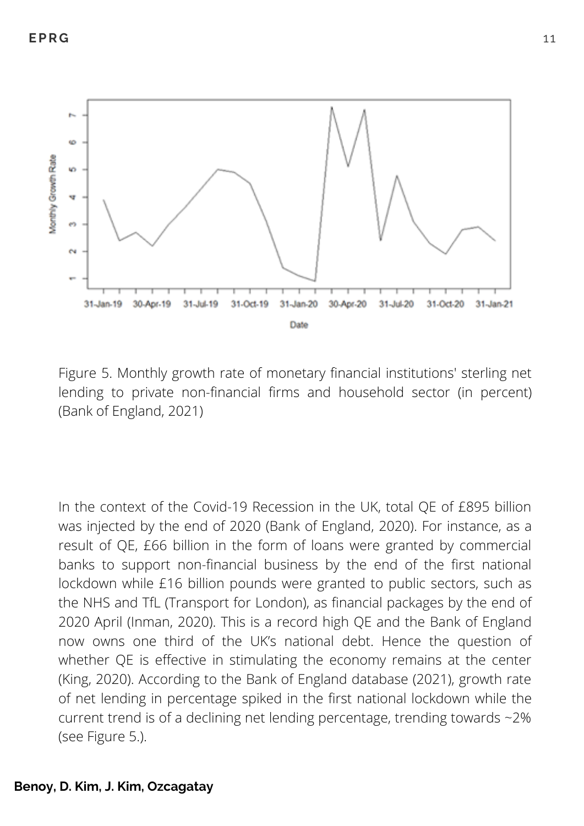

Figure 5. Monthly growth rate of monetary financial institutions' sterling net lending to private non-financial firms and household sector (in percent) (Bank of England, 2021)

In the context of the Covid-19 Recession in the UK, total QE of £895 billion was injected by the end of 2020 (Bank of England, 2020). For instance, as a result of QE, £66 billion in the form of loans were granted by commercial banks to support non-financial business by the end of the first national lockdown while £16 billion pounds were granted to public sectors, such as the NHS and TfL (Transport for London), as financial packages by the end of 2020 April (Inman, 2020). This is a record high QE and the Bank of England now owns one third of the UK's national debt. Hence the question of whether QE is effective in stimulating the economy remains at the center (King, 2020). According to the Bank of England database (2021), growth rate of net lending in percentage spiked in the first national lockdown while the current trend is of a declining net lending percentage, trending towards ~2% (see Figure 5.).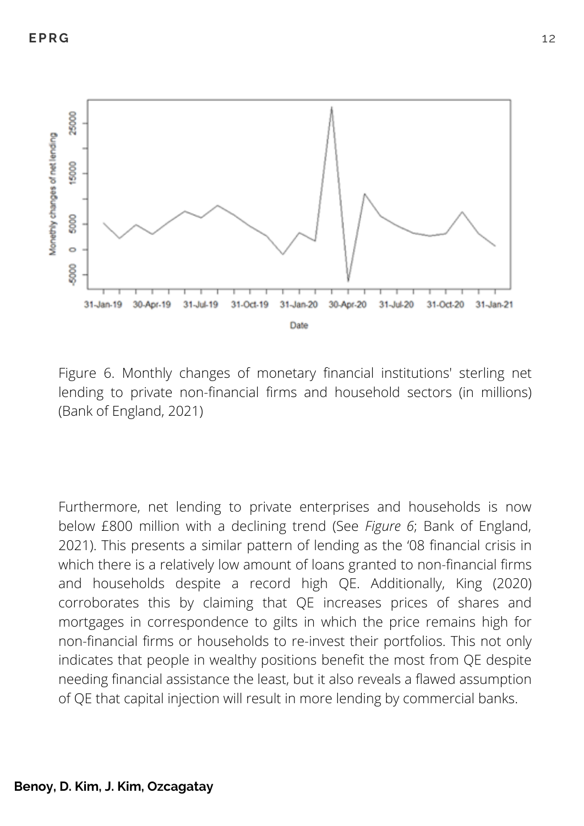

Figure 6. Monthly changes of monetary financial institutions' sterling net lending to private non-financial firms and household sectors (in millions) (Bank of England, 2021)

Furthermore, net lending to private enterprises and households is now below £800 million with a declining trend (See *Figure 6*; Bank of England, 2021). This presents a similar pattern of lending as the '08 financial crisis in which there is a relatively low amount of loans granted to non-financial firms and households despite a record high QE. Additionally, King (2020) corroborates this by claiming that QE increases prices of shares and mortgages in correspondence to gilts in which the price remains high for non-financial firms or households to re-invest their portfolios. This not only indicates that people in wealthy positions benefit the most from QE despite needing financial assistance the least, but it also reveals a flawed assumption of QE that capital injection will result in more lending by commercial banks.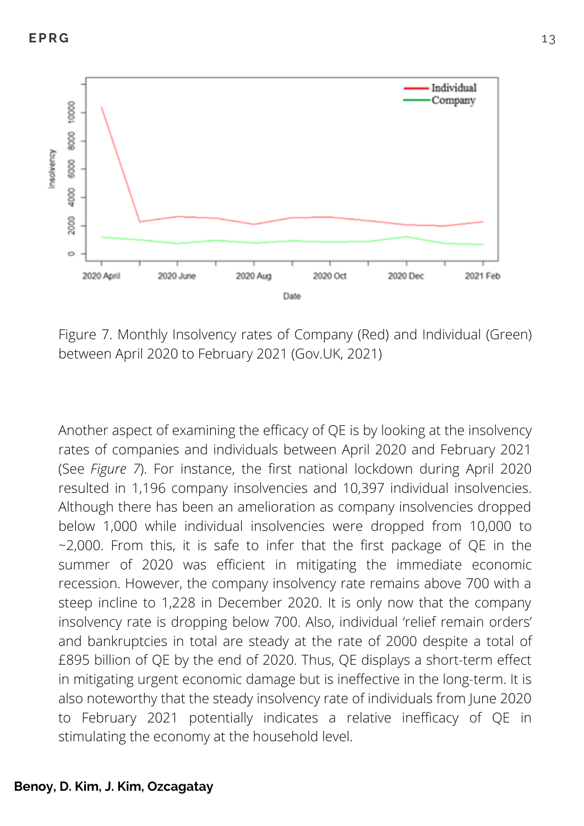

Figure 7. Monthly Insolvency rates of Company (Red) and Individual (Green) between April 2020 to February 2021 (Gov.UK, 2021)

Another aspect of examining the efficacy of QE is by looking at the insolvency rates of companies and individuals between April 2020 and February 2021 (See *Figure 7*). For instance, the first national lockdown during April 2020 resulted in 1,196 company insolvencies and 10,397 individual insolvencies. Although there has been an amelioration as company insolvencies dropped below 1,000 while individual insolvencies were dropped from 10,000 to  $-2,000$ . From this, it is safe to infer that the first package of QE in the summer of 2020 was efficient in mitigating the immediate economic recession. However, the company insolvency rate remains above 700 with a steep incline to 1,228 in December 2020. It is only now that the company insolvency rate is dropping below 700. Also, individual 'relief remain orders' and bankruptcies in total are steady at the rate of 2000 despite a total of £895 billion of QE by the end of 2020. Thus, QE displays a short-term effect in mitigating urgent economic damage but is ineffective in the long-term. It is also noteworthy that the steady insolvency rate of individuals from June 2020 to February 2021 potentially indicates a relative inefficacy of QE in stimulating the economy at the household level.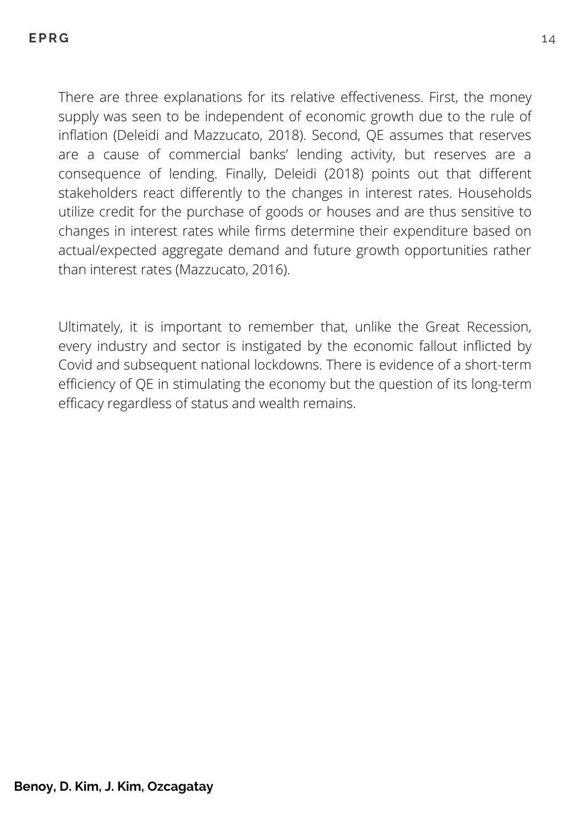There are three explanations for its relative effectiveness. First, the money supply was seen to be independent of economic growth due to the rule of inflation (Deleidi and Mazzucato, 2018). Second, QE assumes that reserves are a cause of commercial banks' lending activity, but reserves are a consequence of lending. Finally, Deleidi (2018) points out that different stakeholders react differently to the changes in interest rates. Households utilize credit for the purchase of goods or houses and are thus sensitive to changes in interest rates while firms determine their expenditure based on actual/expected aggregate demand and future growth opportunities rather than interest rates (Mazzucato, 2016).

Ultimately, it is important to remember that, unlike the Great Recession, every industry and sector is instigated by the economic fallout inflicted by Covid and subsequent national lockdowns. There is evidence of a short-term efficiency of QE in stimulating the economy but the question of its long-term efficacy regardless of status and wealth remains.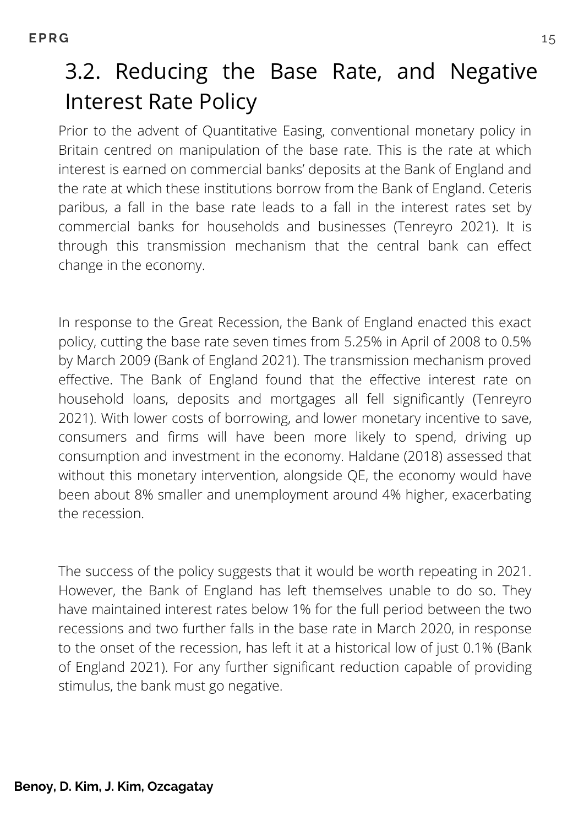# 3.2. Reducing the Base Rate, and Negative Interest Rate Policy

Prior to the advent of Quantitative Easing, conventional monetary policy in Britain centred on manipulation of the base rate. This is the rate at which interest is earned on commercial banks' deposits at the Bank of England and the rate at which these institutions borrow from the Bank of England. Ceteris paribus, a fall in the base rate leads to a fall in the interest rates set by commercial banks for households and businesses (Tenreyro 2021). It is through this transmission mechanism that the central bank can effect change in the economy.

In response to the Great Recession, the Bank of England enacted this exact policy, cutting the base rate seven times from 5.25% in April of 2008 to 0.5% by March 2009 (Bank of England 2021). The transmission mechanism proved effective. The Bank of England found that the effective interest rate on household loans, deposits and mortgages all fell significantly (Tenreyro 2021). With lower costs of borrowing, and lower monetary incentive to save, consumers and firms will have been more likely to spend, driving up consumption and investment in the economy. Haldane (2018) assessed that without this monetary intervention, alongside QE, the economy would have been about 8% smaller and unemployment around 4% higher, exacerbating the recession.

The success of the policy suggests that it would be worth repeating in 2021. However, the Bank of England has left themselves unable to do so. They have maintained interest rates below 1% for the full period between the two recessions and two further falls in the base rate in March 2020, in response to the onset of the recession, has left it at a historical low of just 0.1% (Bank of England 2021). For any further significant reduction capable of providing stimulus, the bank must go negative.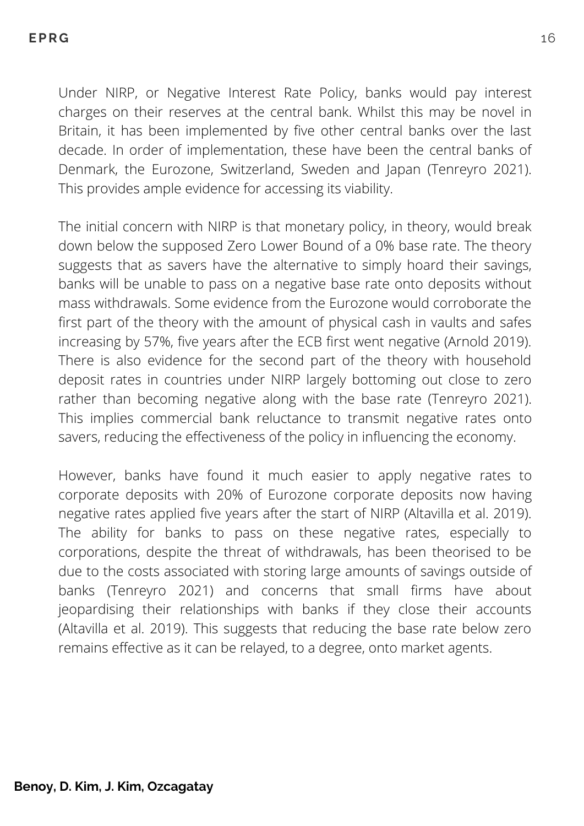Under NIRP, or Negative Interest Rate Policy, banks would pay interest charges on their reserves at the central bank. Whilst this may be novel in Britain, it has been implemented by five other central banks over the last decade. In order of implementation, these have been the central banks of Denmark, the Eurozone, Switzerland, Sweden and Japan (Tenreyro 2021). This provides ample evidence for accessing its viability.

The initial concern with NIRP is that monetary policy, in theory, would break down below the supposed Zero Lower Bound of a 0% base rate. The theory suggests that as savers have the alternative to simply hoard their savings, banks will be unable to pass on a negative base rate onto deposits without mass withdrawals. Some evidence from the Eurozone would corroborate the first part of the theory with the amount of physical cash in vaults and safes increasing by 57%, five years after the ECB first went negative (Arnold 2019). There is also evidence for the second part of the theory with household deposit rates in countries under NIRP largely bottoming out close to zero rather than becoming negative along with the base rate (Tenreyro 2021). This implies commercial bank reluctance to transmit negative rates onto savers, reducing the effectiveness of the policy in influencing the economy.

However, banks have found it much easier to apply negative rates to corporate deposits with 20% of Eurozone corporate deposits now having negative rates applied five years after the start of NIRP (Altavilla et al. 2019). The ability for banks to pass on these negative rates, especially to corporations, despite the threat of withdrawals, has been theorised to be due to the costs associated with storing large amounts of savings outside of banks (Tenreyro 2021) and concerns that small firms have about jeopardising their relationships with banks if they close their accounts (Altavilla et al. 2019). This suggests that reducing the base rate below zero remains effective as it can be relayed, to a degree, onto market agents.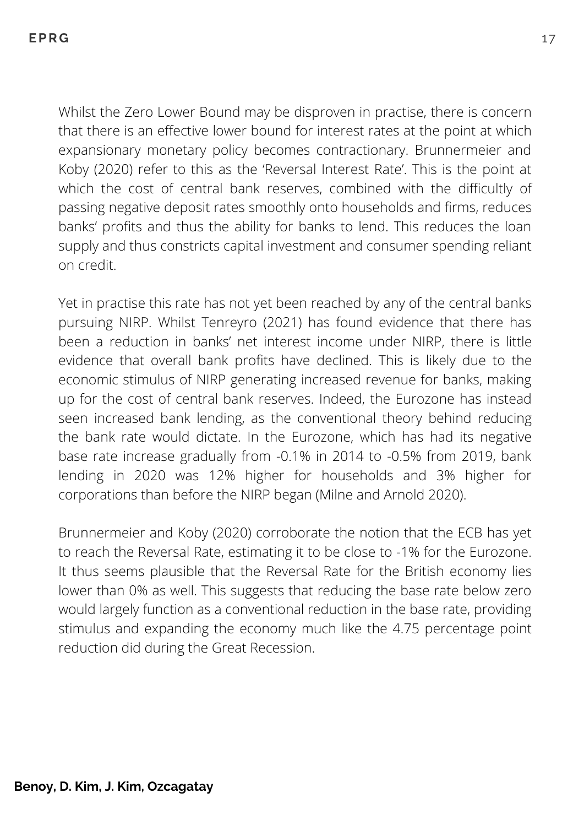Whilst the Zero Lower Bound may be disproven in practise, there is concern that there is an effective lower bound for interest rates at the point at which expansionary monetary policy becomes contractionary. Brunnermeier and Koby (2020) refer to this as the 'Reversal Interest Rate'. This is the point at which the cost of central bank reserves, combined with the difficultly of passing negative deposit rates smoothly onto households and firms, reduces banks' profits and thus the ability for banks to lend. This reduces the loan supply and thus constricts capital investment and consumer spending reliant on credit.

Yet in practise this rate has not yet been reached by any of the central banks pursuing NIRP. Whilst Tenreyro (2021) has found evidence that there has been a reduction in banks' net interest income under NIRP, there is little evidence that overall bank profits have declined. This is likely due to the economic stimulus of NIRP generating increased revenue for banks, making up for the cost of central bank reserves. Indeed, the Eurozone has instead seen increased bank lending, as the conventional theory behind reducing the bank rate would dictate. In the Eurozone, which has had its negative base rate increase gradually from -0.1% in 2014 to -0.5% from 2019, bank lending in 2020 was 12% higher for households and 3% higher for corporations than before the NIRP began (Milne and Arnold 2020).

Brunnermeier and Koby (2020) corroborate the notion that the ECB has yet to reach the Reversal Rate, estimating it to be close to -1% for the Eurozone. It thus seems plausible that the Reversal Rate for the British economy lies lower than 0% as well. This suggests that reducing the base rate below zero would largely function as a conventional reduction in the base rate, providing stimulus and expanding the economy much like the 4.75 percentage point reduction did during the Great Recession.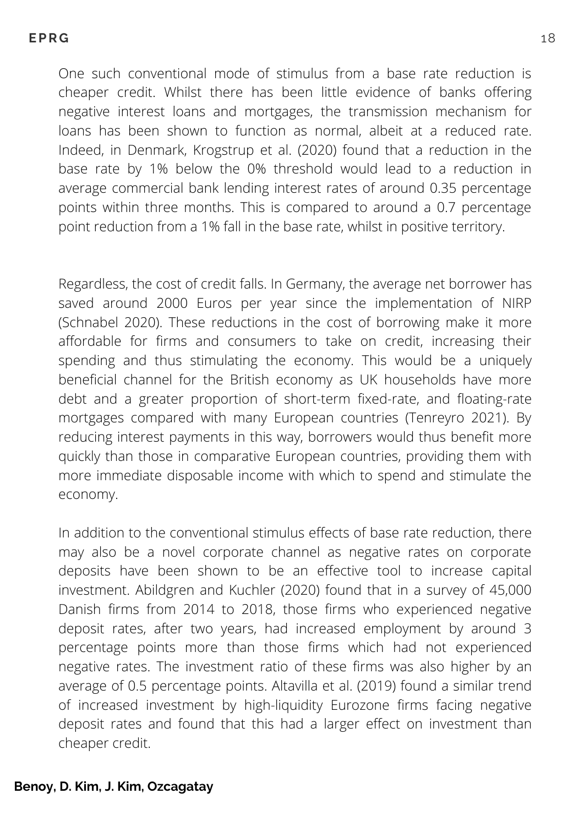One such conventional mode of stimulus from a base rate reduction is cheaper credit. Whilst there has been little evidence of banks offering negative interest loans and mortgages, the transmission mechanism for loans has been shown to function as normal, albeit at a reduced rate. Indeed, in Denmark, Krogstrup et al. (2020) found that a reduction in the base rate by 1% below the 0% threshold would lead to a reduction in average commercial bank lending interest rates of around 0.35 percentage points within three months. This is compared to around a 0.7 percentage point reduction from a 1% fall in the base rate, whilst in positive territory.

Regardless, the cost of credit falls. In Germany, the average net borrower has saved around 2000 Euros per year since the implementation of NIRP (Schnabel 2020). These reductions in the cost of borrowing make it more affordable for firms and consumers to take on credit, increasing their spending and thus stimulating the economy. This would be a uniquely beneficial channel for the British economy as UK households have more debt and a greater proportion of short-term fixed-rate, and floating-rate mortgages compared with many European countries (Tenreyro 2021). By reducing interest payments in this way, borrowers would thus benefit more quickly than those in comparative European countries, providing them with more immediate disposable income with which to spend and stimulate the economy.

In addition to the conventional stimulus effects of base rate reduction, there may also be a novel corporate channel as negative rates on corporate deposits have been shown to be an effective tool to increase capital investment. Abildgren and Kuchler (2020) found that in a survey of 45,000 Danish firms from 2014 to 2018, those firms who experienced negative deposit rates, after two years, had increased employment by around 3 percentage points more than those firms which had not experienced negative rates. The investment ratio of these firms was also higher by an average of 0.5 percentage points. Altavilla et al. (2019) found a similar trend of increased investment by high-liquidity Eurozone firms facing negative deposit rates and found that this had a larger effect on investment than cheaper credit.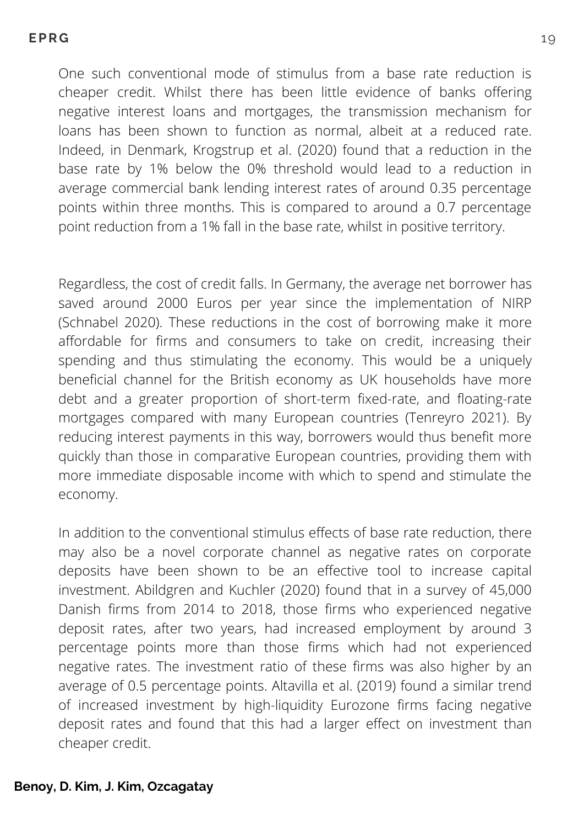One such conventional mode of stimulus from a base rate reduction is cheaper credit. Whilst there has been little evidence of banks offering negative interest loans and mortgages, the transmission mechanism for loans has been shown to function as normal, albeit at a reduced rate. Indeed, in Denmark, Krogstrup et al. (2020) found that a reduction in the base rate by 1% below the 0% threshold would lead to a reduction in average commercial bank lending interest rates of around 0.35 percentage points within three months. This is compared to around a 0.7 percentage point reduction from a 1% fall in the base rate, whilst in positive territory.

Regardless, the cost of credit falls. In Germany, the average net borrower has saved around 2000 Euros per year since the implementation of NIRP (Schnabel 2020). These reductions in the cost of borrowing make it more affordable for firms and consumers to take on credit, increasing their spending and thus stimulating the economy. This would be a uniquely beneficial channel for the British economy as UK households have more debt and a greater proportion of short-term fixed-rate, and floating-rate mortgages compared with many European countries (Tenreyro 2021). By reducing interest payments in this way, borrowers would thus benefit more quickly than those in comparative European countries, providing them with more immediate disposable income with which to spend and stimulate the economy.

In addition to the conventional stimulus effects of base rate reduction, there may also be a novel corporate channel as negative rates on corporate deposits have been shown to be an effective tool to increase capital investment. Abildgren and Kuchler (2020) found that in a survey of 45,000 Danish firms from 2014 to 2018, those firms who experienced negative deposit rates, after two years, had increased employment by around 3 percentage points more than those firms which had not experienced negative rates. The investment ratio of these firms was also higher by an average of 0.5 percentage points. Altavilla et al. (2019) found a similar trend of increased investment by high-liquidity Eurozone firms facing negative deposit rates and found that this had a larger effect on investment than cheaper credit.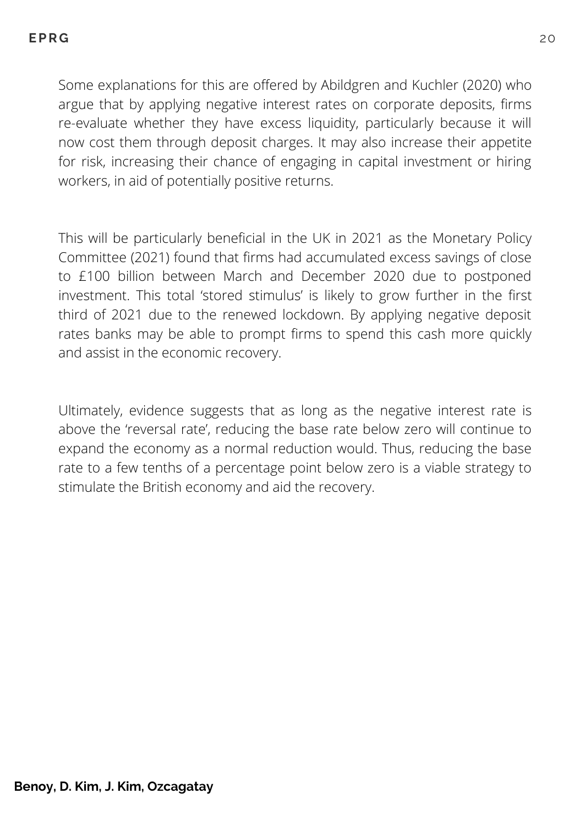Some explanations for this are offered by Abildgren and Kuchler (2020) who argue that by applying negative interest rates on corporate deposits, firms re-evaluate whether they have excess liquidity, particularly because it will now cost them through deposit charges. It may also increase their appetite for risk, increasing their chance of engaging in capital investment or hiring workers, in aid of potentially positive returns.

This will be particularly beneficial in the UK in 2021 as the Monetary Policy Committee (2021) found that firms had accumulated excess savings of close to £100 billion between March and December 2020 due to postponed investment. This total 'stored stimulus' is likely to grow further in the first third of 2021 due to the renewed lockdown. By applying negative deposit rates banks may be able to prompt firms to spend this cash more quickly and assist in the economic recovery.

Ultimately, evidence suggests that as long as the negative interest rate is above the 'reversal rate', reducing the base rate below zero will continue to expand the economy as a normal reduction would. Thus, reducing the base rate to a few tenths of a percentage point below zero is a viable strategy to stimulate the British economy and aid the recovery.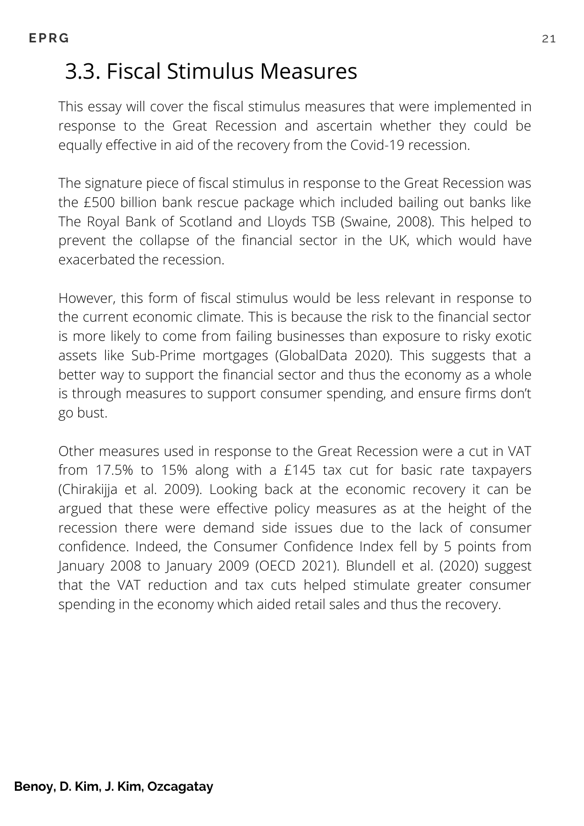# 3.3. Fiscal Stimulus Measures

This essay will cover the fiscal stimulus measures that were implemented in response to the Great Recession and ascertain whether they could be equally effective in aid of the recovery from the Covid-19 recession.

The signature piece of fiscal stimulus in response to the Great Recession was the £500 billion bank rescue package which included bailing out banks like The Royal Bank of Scotland and Lloyds TSB (Swaine, 2008). This helped to prevent the collapse of the financial sector in the UK, which would have exacerbated the recession.

However, this form of fiscal stimulus would be less relevant in response to the current economic climate. This is because the risk to the financial sector is more likely to come from failing businesses than exposure to risky exotic assets like Sub-Prime mortgages (GlobalData 2020). This suggests that a better way to support the financial sector and thus the economy as a whole is through measures to support consumer spending, and ensure firms don't go bust.

Other measures used in response to the Great Recession were a cut in VAT from 17.5% to 15% along with a £145 tax cut for basic rate taxpayers (Chirakijja et al. 2009). Looking back at the economic recovery it can be argued that these were effective policy measures as at the height of the recession there were demand side issues due to the lack of consumer confidence. Indeed, the Consumer Confidence Index fell by 5 points from January 2008 to January 2009 (OECD 2021). Blundell et al. (2020) suggest that the VAT reduction and tax cuts helped stimulate greater consumer spending in the economy which aided retail sales and thus the recovery.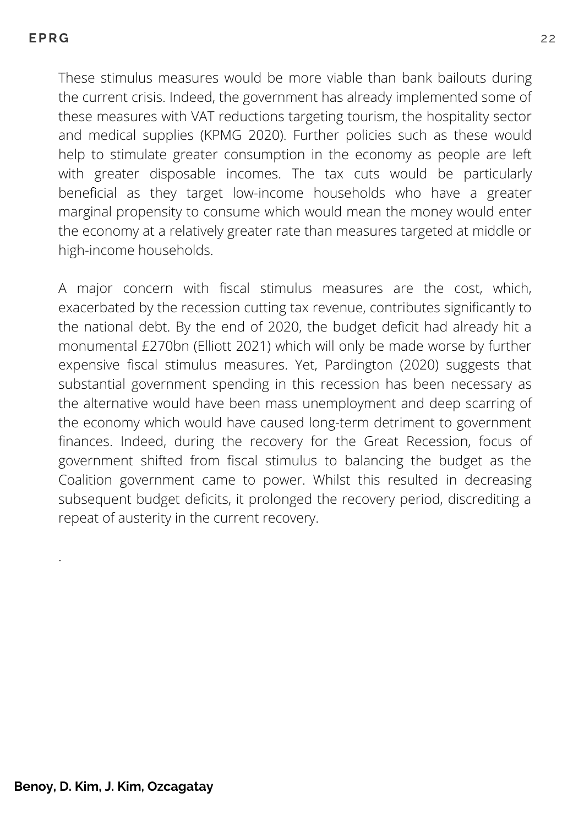These stimulus measures would be more viable than bank bailouts during the current crisis. Indeed, the government has already implemented some of these measures with VAT reductions targeting tourism, the hospitality sector and medical supplies (KPMG 2020). Further policies such as these would help to stimulate greater consumption in the economy as people are left with greater disposable incomes. The tax cuts would be particularly beneficial as they target low-income households who have a greater marginal propensity to consume which would mean the money would enter the economy at a relatively greater rate than measures targeted at middle or high-income households.

A major concern with fiscal stimulus measures are the cost, which, exacerbated by the recession cutting tax revenue, contributes significantly to the national debt. By the end of 2020, the budget deficit had already hit a monumental £270bn (Elliott 2021) which will only be made worse by further expensive fiscal stimulus measures. Yet, Pardington (2020) suggests that substantial government spending in this recession has been necessary as the alternative would have been mass unemployment and deep scarring of the economy which would have caused long-term detriment to government finances. Indeed, during the recovery for the Great Recession, focus of government shifted from fiscal stimulus to balancing the budget as the Coalition government came to power. Whilst this resulted in decreasing subsequent budget deficits, it prolonged the recovery period, discrediting a repeat of austerity in the current recovery.

.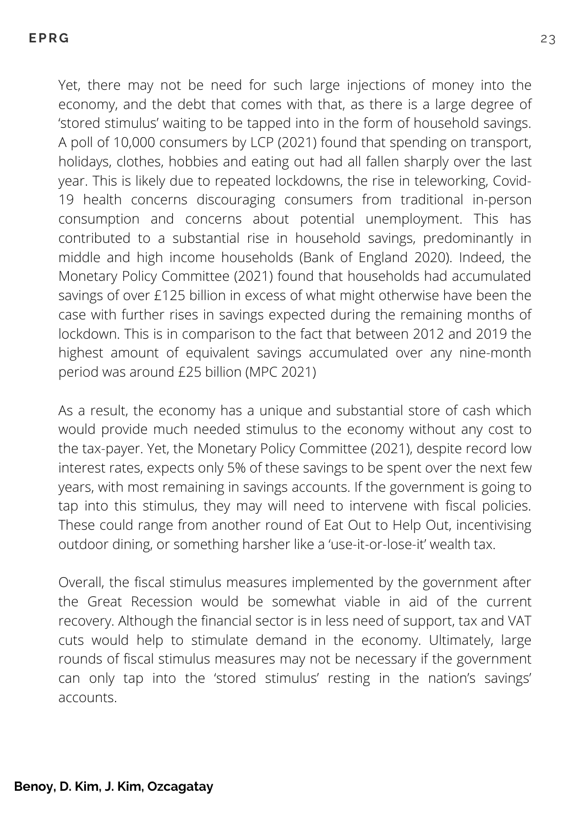Yet, there may not be need for such large injections of money into the economy, and the debt that comes with that, as there is a large degree of 'stored stimulus' waiting to be tapped into in the form of household savings. A poll of 10,000 consumers by LCP (2021) found that spending on transport, holidays, clothes, hobbies and eating out had all fallen sharply over the last year. This is likely due to repeated lockdowns, the rise in teleworking, Covid-19 health concerns discouraging consumers from traditional in-person consumption and concerns about potential unemployment. This has contributed to a substantial rise in household savings, predominantly in middle and high income households (Bank of England 2020). Indeed, the Monetary Policy Committee (2021) found that households had accumulated savings of over £125 billion in excess of what might otherwise have been the case with further rises in savings expected during the remaining months of lockdown. This is in comparison to the fact that between 2012 and 2019 the highest amount of equivalent savings accumulated over any nine-month period was around £25 billion (MPC 2021)

As a result, the economy has a unique and substantial store of cash which would provide much needed stimulus to the economy without any cost to the tax-payer. Yet, the Monetary Policy Committee (2021), despite record low interest rates, expects only 5% of these savings to be spent over the next few years, with most remaining in savings accounts. If the government is going to tap into this stimulus, they may will need to intervene with fiscal policies. These could range from another round of Eat Out to Help Out, incentivising outdoor dining, or something harsher like a 'use-it-or-lose-it' wealth tax.

Overall, the fiscal stimulus measures implemented by the government after the Great Recession would be somewhat viable in aid of the current recovery. Although the financial sector is in less need of support, tax and VAT cuts would help to stimulate demand in the economy. Ultimately, large rounds of fiscal stimulus measures may not be necessary if the government can only tap into the 'stored stimulus' resting in the nation's savings' accounts.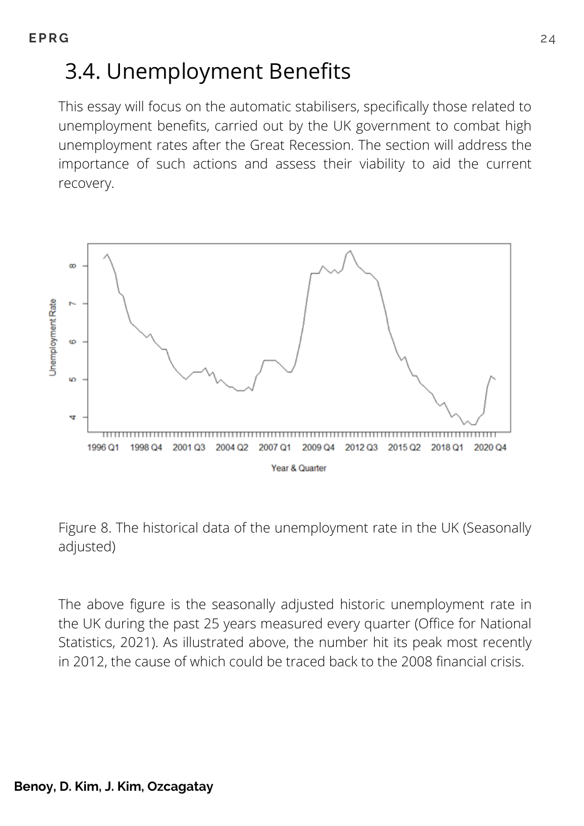# 3.4. Unemployment Benefits

This essay will focus on the automatic stabilisers, specifically those related to unemployment benefits, carried out by the UK government to combat high unemployment rates after the Great Recession. The section will address the importance of such actions and assess their viability to aid the current recovery.





The above figure is the seasonally adjusted historic unemployment rate in the UK during the past 25 years measured every quarter (Office for National Statistics, 2021). As illustrated above, the number hit its peak most recently in 2012, the cause of which could be traced back to the 2008 financial crisis.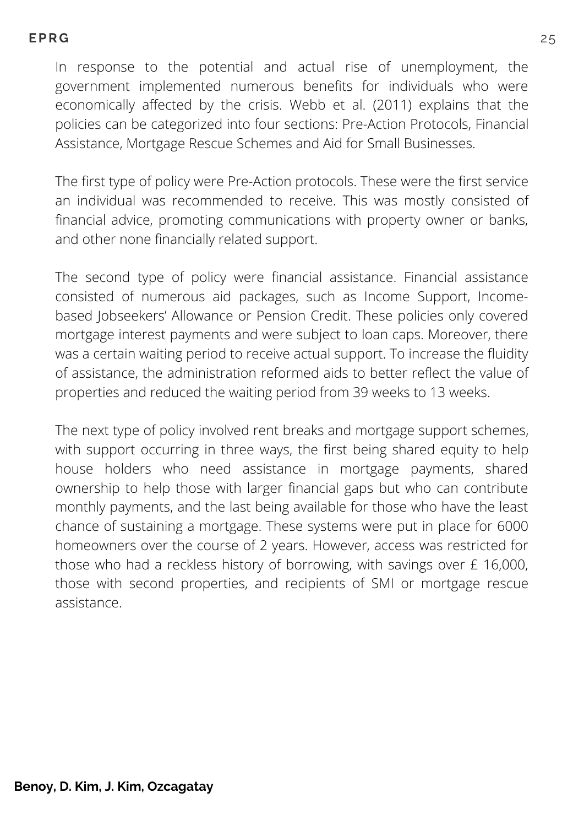In response to the potential and actual rise of unemployment, the government implemented numerous benefits for individuals who were economically affected by the crisis. Webb et al. (2011) explains that the policies can be categorized into four sections: Pre-Action Protocols, Financial Assistance, Mortgage Rescue Schemes and Aid for Small Businesses.

The first type of policy were Pre-Action protocols. These were the first service an individual was recommended to receive. This was mostly consisted of financial advice, promoting communications with property owner or banks, and other none financially related support.

The second type of policy were financial assistance. Financial assistance consisted of numerous aid packages, such as Income Support, Incomebased Jobseekers' Allowance or Pension Credit. These policies only covered mortgage interest payments and were subject to loan caps. Moreover, there was a certain waiting period to receive actual support. To increase the fluidity of assistance, the administration reformed aids to better reflect the value of properties and reduced the waiting period from 39 weeks to 13 weeks.

The next type of policy involved rent breaks and mortgage support schemes, with support occurring in three ways, the first being shared equity to help house holders who need assistance in mortgage payments, shared ownership to help those with larger financial gaps but who can contribute monthly payments, and the last being available for those who have the least chance of sustaining a mortgage. These systems were put in place for 6000 homeowners over the course of 2 years. However, access was restricted for those who had a reckless history of borrowing, with savings over £ 16,000, those with second properties, and recipients of SMI or mortgage rescue assistance.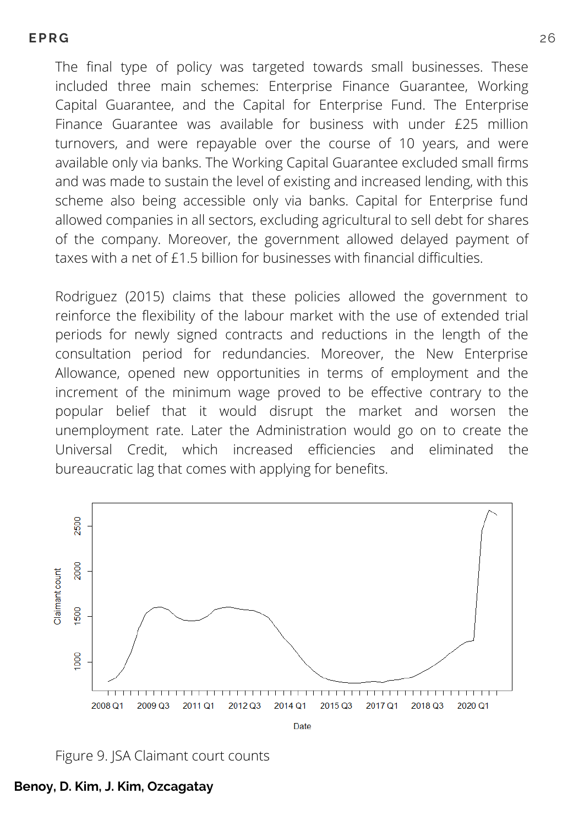The final type of policy was targeted towards small businesses. These included three main schemes: Enterprise Finance Guarantee, Working Capital Guarantee, and the Capital for Enterprise Fund. The Enterprise Finance Guarantee was available for business with under £25 million turnovers, and were repayable over the course of 10 years, and were available only via banks. The Working Capital Guarantee excluded small firms and was made to sustain the level of existing and increased lending, with this scheme also being accessible only via banks. Capital for Enterprise fund allowed companies in all sectors, excluding agricultural to sell debt for shares of the company. Moreover, the government allowed delayed payment of taxes with a net of £1.5 billion for businesses with financial difficulties.

Rodriguez (2015) claims that these policies allowed the government to reinforce the flexibility of the labour market with the use of extended trial periods for newly signed contracts and reductions in the length of the consultation period for redundancies. Moreover, the New Enterprise Allowance, opened new opportunities in terms of employment and the increment of the minimum wage proved to be effective contrary to the popular belief that it would disrupt the market and worsen the unemployment rate. Later the Administration would go on to create the Universal Credit, which increased efficiencies and eliminated the bureaucratic lag that comes with applying for benefits.



Figure 9. JSA Claimant court counts

**Benoy, D. Kim, J. Kim, Ozcagatay**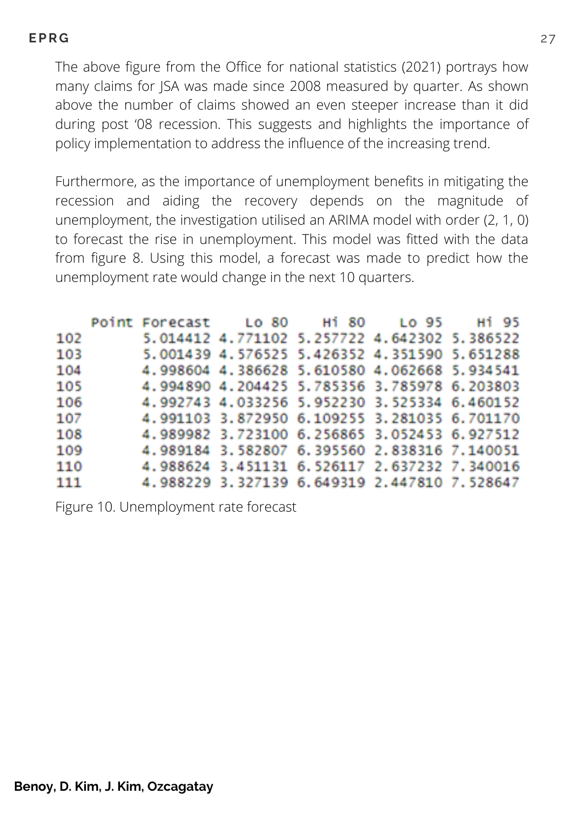The above figure from the Office for national statistics (2021) portrays how many claims for JSA was made since 2008 measured by quarter. As shown above the number of claims showed an even steeper increase than it did during post '08 recession. This suggests and highlights the importance of policy implementation to address the influence of the increasing trend.

Furthermore, as the importance of unemployment benefits in mitigating the recession and aiding the recovery depends on the magnitude of unemployment, the investigation utilised an ARIMA model with order (2, 1, 0) to forecast the rise in unemployment. This model was fitted with the data from figure 8. Using this model, a forecast was made to predict how the unemployment rate would change in the next 10 quarters.

|     | Point Forecast Lo 80 |                                              | Hi 80 | Lo 95 |          |
|-----|----------------------|----------------------------------------------|-------|-------|----------|
| 102 |                      | 5.014412 4.771102 5.257722 4.642302 5.386522 |       |       |          |
| 103 |                      | 5.001439 4.576525 5.426352 4.351590          |       |       | 5.651288 |
| 104 |                      | 4.998604 4.386628 5.610580 4.062668 5.934541 |       |       |          |
| 105 |                      | 4.994890 4.204425 5.785356 3.785978 6.203803 |       |       |          |
| 106 |                      | 4.992743 4.033256 5.952230 3.525334 6.460152 |       |       |          |
| 107 |                      | 4.991103 3.872950 6.109255 3.281035 6.701170 |       |       |          |
| 108 |                      | 4.989982 3.723100 6.256865 3.052453 6.927512 |       |       |          |
| 109 |                      | 4.989184 3.582807 6.395560 2.838316 7.140051 |       |       |          |
| 110 |                      | 4.988624 3.451131 6.526117 2.637232 7.340016 |       |       |          |
| 111 | 4.988229             | 3.327139 6.649319 2.447810 7.528647          |       |       |          |

Figure 10. Unemployment rate forecast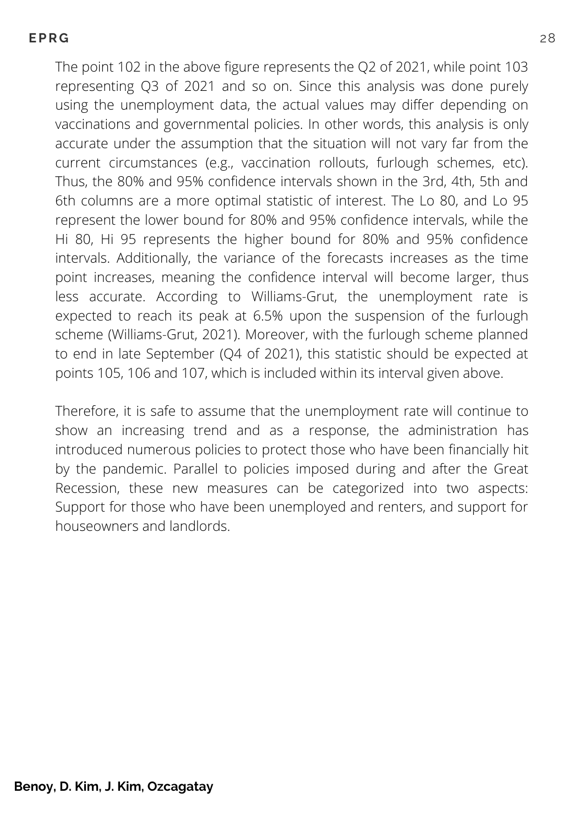The point 102 in the above figure represents the Q2 of 2021, while point 103 representing Q3 of 2021 and so on. Since this analysis was done purely using the unemployment data, the actual values may differ depending on vaccinations and governmental policies. In other words, this analysis is only accurate under the assumption that the situation will not vary far from the current circumstances (e.g., vaccination rollouts, furlough schemes, etc). Thus, the 80% and 95% confidence intervals shown in the 3rd, 4th, 5th and 6th columns are a more optimal statistic of interest. The Lo 80, and Lo 95 represent the lower bound for 80% and 95% confidence intervals, while the Hi 80, Hi 95 represents the higher bound for 80% and 95% confidence intervals. Additionally, the variance of the forecasts increases as the time point increases, meaning the confidence interval will become larger, thus less accurate. According to Williams-Grut, the unemployment rate is expected to reach its peak at 6.5% upon the suspension of the furlough scheme (Williams-Grut, 2021). Moreover, with the furlough scheme planned to end in late September (Q4 of 2021), this statistic should be expected at points 105, 106 and 107, which is included within its interval given above.

Therefore, it is safe to assume that the unemployment rate will continue to show an increasing trend and as a response, the administration has introduced numerous policies to protect those who have been financially hit by the pandemic. Parallel to policies imposed during and after the Great Recession, these new measures can be categorized into two aspects: Support for those who have been unemployed and renters, and support for houseowners and landlords.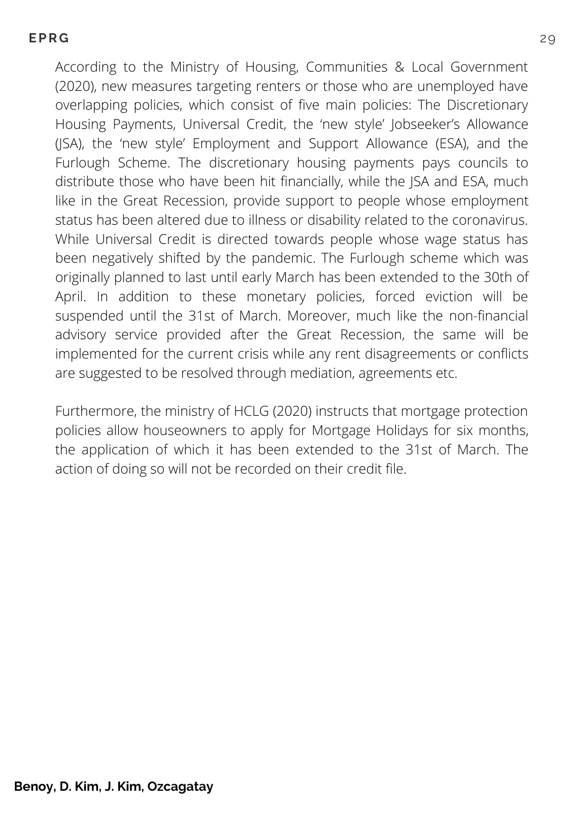According to the Ministry of Housing, Communities & Local Government (2020), new measures targeting renters or those who are unemployed have overlapping policies, which consist of five main policies: The Discretionary Housing Payments, Universal Credit, the 'new style' Jobseeker's Allowance (JSA), the 'new style' Employment and Support Allowance (ESA), and the Furlough Scheme. The discretionary housing payments pays councils to distribute those who have been hit financially, while the JSA and ESA, much like in the Great Recession, provide support to people whose employment status has been altered due to illness or disability related to the coronavirus. While Universal Credit is directed towards people whose wage status has been negatively shifted by the pandemic. The Furlough scheme which was originally planned to last until early March has been extended to the 30th of April. In addition to these monetary policies, forced eviction will be suspended until the 31st of March. Moreover, much like the non-financial advisory service provided after the Great Recession, the same will be implemented for the current crisis while any rent disagreements or conflicts are suggested to be resolved through mediation, agreements etc.

Furthermore, the ministry of HCLG (2020) instructs that mortgage protection policies allow houseowners to apply for Mortgage Holidays for six months, the application of which it has been extended to the 31st of March. The action of doing so will not be recorded on their credit file.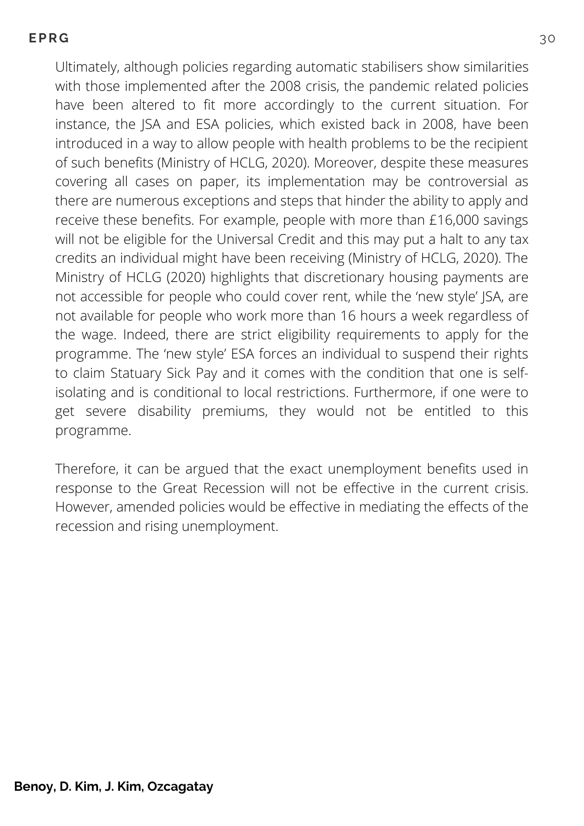Ultimately, although policies regarding automatic stabilisers show similarities with those implemented after the 2008 crisis, the pandemic related policies have been altered to fit more accordingly to the current situation. For instance, the JSA and ESA policies, which existed back in 2008, have been introduced in a way to allow people with health problems to be the recipient of such benefits (Ministry of HCLG, 2020). Moreover, despite these measures covering all cases on paper, its implementation may be controversial as there are numerous exceptions and steps that hinder the ability to apply and receive these benefits. For example, people with more than £16,000 savings will not be eligible for the Universal Credit and this may put a halt to any tax credits an individual might have been receiving (Ministry of HCLG, 2020). The Ministry of HCLG (2020) highlights that discretionary housing payments are not accessible for people who could cover rent, while the 'new style' JSA, are not available for people who work more than 16 hours a week regardless of the wage. Indeed, there are strict eligibility requirements to apply for the programme. The 'new style' ESA forces an individual to suspend their rights to claim Statuary Sick Pay and it comes with the condition that one is selfisolating and is conditional to local restrictions. Furthermore, if one were to get severe disability premiums, they would not be entitled to this programme.

Therefore, it can be argued that the exact unemployment benefits used in response to the Great Recession will not be effective in the current crisis. However, amended policies would be effective in mediating the effects of the recession and rising unemployment.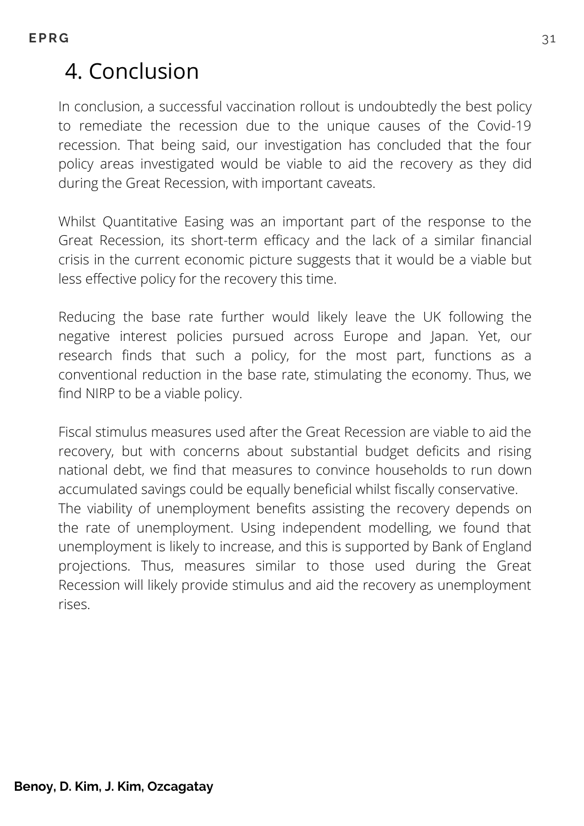# 4. Conclusion

In conclusion, a successful vaccination rollout is undoubtedly the best policy to remediate the recession due to the unique causes of the Covid-19 recession. That being said, our investigation has concluded that the four policy areas investigated would be viable to aid the recovery as they did during the Great Recession, with important caveats.

Whilst Quantitative Easing was an important part of the response to the Great Recession, its short-term efficacy and the lack of a similar financial crisis in the current economic picture suggests that it would be a viable but less effective policy for the recovery this time.

Reducing the base rate further would likely leave the UK following the negative interest policies pursued across Europe and Japan. Yet, our research finds that such a policy, for the most part, functions as a conventional reduction in the base rate, stimulating the economy. Thus, we find NIRP to be a viable policy.

Fiscal stimulus measures used after the Great Recession are viable to aid the recovery, but with concerns about substantial budget deficits and rising national debt, we find that measures to convince households to run down accumulated savings could be equally beneficial whilst fiscally conservative. The viability of unemployment benefits assisting the recovery depends on the rate of unemployment. Using independent modelling, we found that unemployment is likely to increase, and this is supported by Bank of England projections. Thus, measures similar to those used during the Great Recession will likely provide stimulus and aid the recovery as unemployment rises.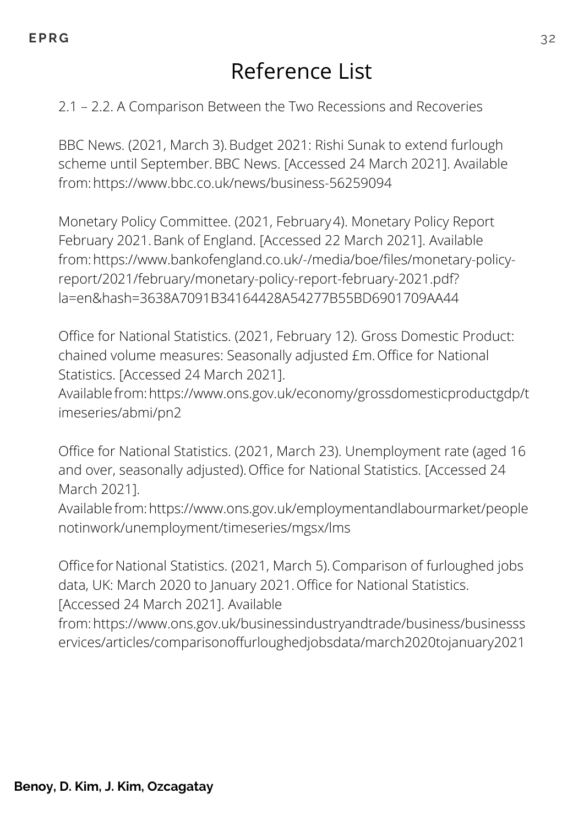### Reference List

### 2.1 – 2.2. A Comparison Between the Two Recessions and Recoveries

BBC News. (2021, March 3). Budget 2021: Rishi Sunak to extend furlough scheme until September.BBC News. [Accessed 24 March 2021]. Available from:https://www.bbc.co.uk/news/business-56259094

Monetary Policy Committee. (2021, February4). Monetary Policy Report February 2021.Bank of England. [Accessed 22 March 2021]. Available from:https://www.bankofengland.co.uk/-/media/boe/files/monetary-policyreport/2021/february/monetary-policy-report-february-2021.pdf? la=en&hash=3638A7091B34164428A54277B55BD6901709AA44

Office for National Statistics. (2021, February 12). Gross Domestic Product: chained volume measures: Seasonally adjusted £m.Office for National Statistics. [Accessed 24 March 2021].

Availablefrom:https://www.ons.gov.uk/economy/grossdomesticproductgdp/t imeseries/abmi/pn2

Office for National Statistics. (2021, March 23). Unemployment rate (aged 16 and over, seasonally adjusted).Office for National Statistics. [Accessed 24 March 2021].

Availablefrom:https://www.ons.gov.uk/employmentandlabourmarket/people notinwork/unemployment/timeseries/mgsx/lms

Office for National Statistics. (2021, March 5). Comparison of furloughed jobs data, UK: March 2020 to January 2021.Office for National Statistics. [Accessed 24 March 2021]. Available

from:https://www.ons.gov.uk/businessindustryandtrade/business/businesss ervices/articles/comparisonoffurloughedjobsdata/march2020tojanuary2021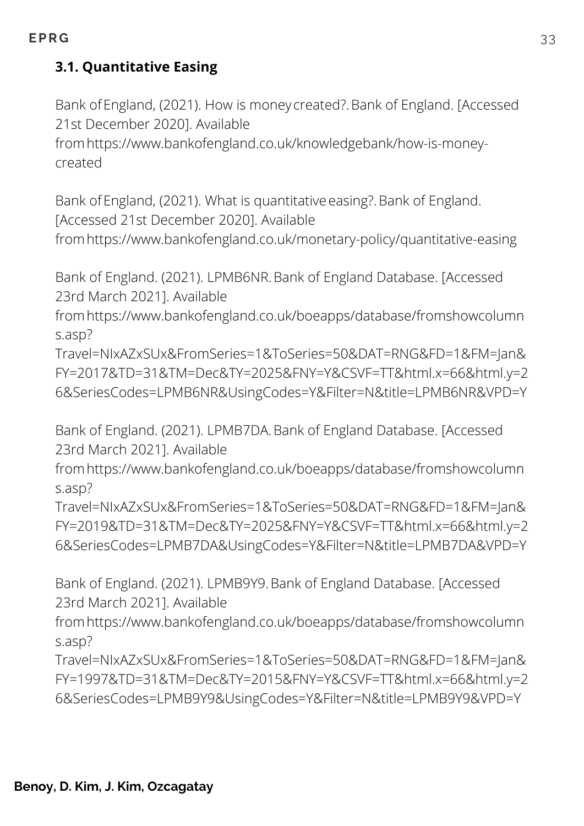### **3.1. Quantitative Easing**

Bank ofEngland, (2021). How is money created?.Bank of England. [Accessed 21st December 2020]. Available

fromhttps://www.bankofengland.co.uk/knowledgebank/how-is-moneycreated

Bank of England, (2021). What is quantitative easing?. Bank of England. [Accessed 21st December 2020]. Available

fromhttps://www.bankofengland.co.uk/monetary-policy/quantitative-easing

Bank of England. (2021). LPMB6NR.Bank of England Database. [Accessed 23rd March 2021]. Available

fromhttps://www.bankofengland.co.uk/boeapps/database/fromshowcolumn s.asp?

Travel=NIxAZxSUx&FromSeries=1&ToSeries=50&DAT=RNG&FD=1&FM=Jan& FY=2017&TD=31&TM=Dec&TY=2025&FNY=Y&CSVF=TT&html.x=66&html.y=2 6&SeriesCodes=LPMB6NR&UsingCodes=Y&Filter=N&title=LPMB6NR&VPD=Y

Bank of England. (2021). LPMB7DA.Bank of England Database. [Accessed 23rd March 2021]. Available

fromhttps://www.bankofengland.co.uk/boeapps/database/fromshowcolumn s.asp?

Travel=NIxAZxSUx&FromSeries=1&ToSeries=50&DAT=RNG&FD=1&FM=Jan& FY=2019&TD=31&TM=Dec&TY=2025&FNY=Y&CSVF=TT&html.x=66&html.y=2 6&SeriesCodes=LPMB7DA&UsingCodes=Y&Filter=N&title=LPMB7DA&VPD=Y

Bank of England. (2021). LPMB9Y9.Bank of England Database. [Accessed 23rd March 2021]. Available

fromhttps://www.bankofengland.co.uk/boeapps/database/fromshowcolumn s.asp?

Travel=NIxAZxSUx&FromSeries=1&ToSeries=50&DAT=RNG&FD=1&FM=Jan& FY=1997&TD=31&TM=Dec&TY=2015&FNY=Y&CSVF=TT&html.x=66&html.y=2 6&SeriesCodes=LPMB9Y9&UsingCodes=Y&Filter=N&title=LPMB9Y9&VPD=Y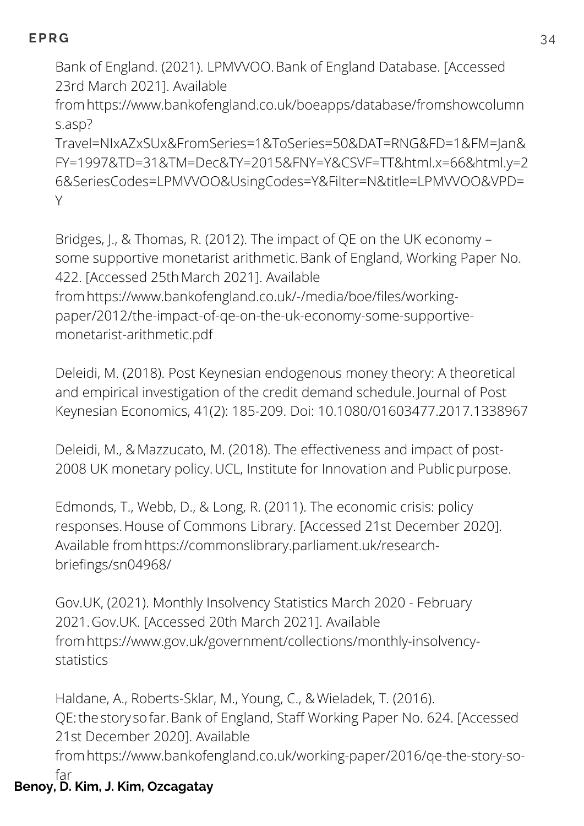Bank of England. (2021). LPMVVOO.Bank of England Database. [Accessed 23rd March 2021]. Available

fromhttps://www.bankofengland.co.uk/boeapps/database/fromshowcolumn s.asp?

Travel=NIxAZxSUx&FromSeries=1&ToSeries=50&DAT=RNG&FD=1&FM=Jan& FY=1997&TD=31&TM=Dec&TY=2015&FNY=Y&CSVF=TT&html.x=66&html.y=2 6&SeriesCodes=LPMVVOO&UsingCodes=Y&Filter=N&title=LPMVVOO&VPD= Y

Bridges, J., & Thomas, R. (2012). The impact of QE on the UK economy – some supportive monetarist arithmetic.Bank of England, Working Paper No. 422. [Accessed 25thMarch 2021]. Available fromhttps://www.bankofengland.co.uk/-/media/boe/files/workingpaper/2012/the-impact-of-qe-on-the-uk-economy-some-supportivemonetarist-arithmetic.pdf

Deleidi, M. (2018). Post Keynesian endogenous money theory: A theoretical and empirical investigation of the credit demand schedule. Journal of Post Keynesian Economics, 41(2): 185-209. Doi: 10.1080/01603477.2017.1338967

Deleidi, M., &Mazzucato, M. (2018). The effectiveness and impact of post-2008 UK monetary policy.UCL, Institute for Innovation and Publicpurpose.

Edmonds, T., Webb, D., & Long, R. (2011). The economic crisis: policy responses.House of Commons Library. [Accessed 21st December 2020]. Available fromhttps://commonslibrary.parliament.uk/researchbriefings/sn04968/

Gov.UK, (2021). Monthly Insolvency Statistics March 2020 - February 2021.Gov.UK. [Accessed 20th March 2021]. Available fromhttps://www.gov.uk/government/collections/monthly-insolvencystatistics

Haldane, A., Roberts-Sklar, M., Young, C., & Wieladek, T. (2016). QE:thestory sofar.Bank of England, Staff Working Paper No. 624. [Accessed 21st December 2020]. Available

fromhttps://www.bankofengland.co.uk/working-paper/2016/qe-the-story-sofar

### **Benoy, D. Kim, J. Kim, Ozcagatay**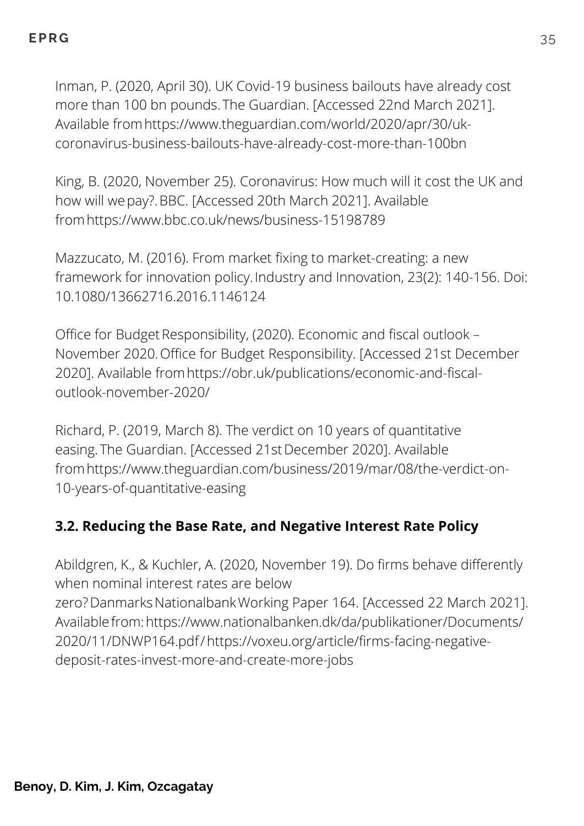Inman, P. (2020, April 30). UK Covid-19 business bailouts have already cost more than 100 bn pounds.The Guardian. [Accessed 22nd March 2021]. Available fromhttps://www.theguardian.com/world/2020/apr/30/ukcoronavirus-business-bailouts-have-already-cost-more-than-100bn

King, B. (2020, November 25). Coronavirus: How much will it cost the UK and how will wepay?.BBC. [Accessed 20th March 2021]. Available fromhttps://www.bbc.co.uk/news/business-15198789

Mazzucato, M. (2016). From market fixing to market-creating: a new framework for innovation policy. Industry and Innovation, 23(2): 140-156. Doi: 10.1080/13662716.2016.1146124

Office for Budget Responsibility, (2020). Economic and fiscal outlook -November 2020.Office for Budget Responsibility. [Accessed 21st December 2020]. Available fromhttps://obr.uk/publications/economic-and-fiscaloutlook-november-2020/

Richard, P. (2019, March 8). The verdict on 10 years of quantitative easing.The Guardian. [Accessed 21stDecember 2020]. Available fromhttps://www.theguardian.com/business/2019/mar/08/the-verdict-on-10-years-of-quantitative-easing

### **3.2. Reducing the Base Rate, and Negative Interest Rate Policy**

Abildgren, K., & Kuchler, A. (2020, November 19). Do firms behave differently when nominal interest rates are below zero? Danmarks Nationalbank Working Paper 164. [Accessed 22 March 2021]. Availablefrom:https://www.nationalbanken.dk/da/publikationer/Documents/ 2020/11/DNWP164.pdf/https://voxeu.org/article/firms-facing-negativedeposit-rates-invest-more-and-create-more-jobs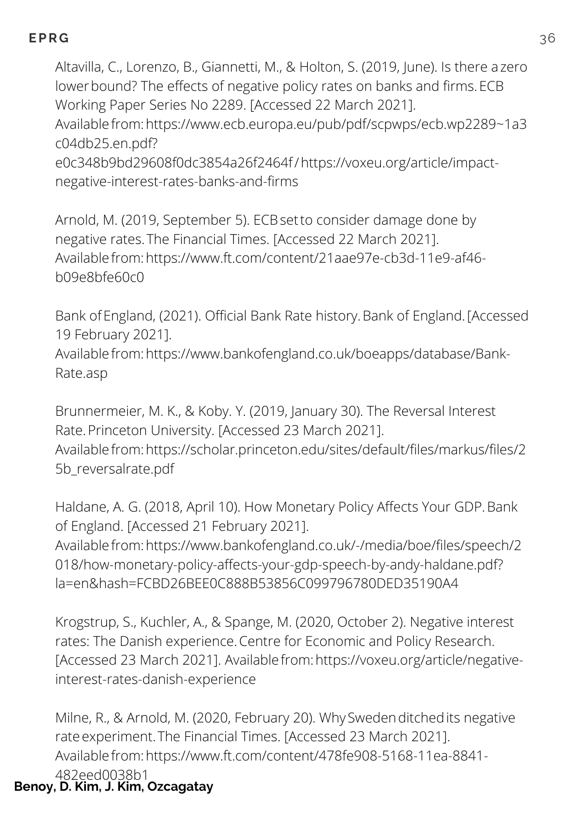Altavilla, C., Lorenzo, B., Giannetti, M., & Holton, S. (2019, June). Is there azero lower bound? The effects of negative policy rates on banks and firms. ECB Working Paper Series No 2289. [Accessed 22 March 2021]. Availablefrom:https://www.ecb.europa.eu/pub/pdf/scpwps/ecb.wp2289~1a3 c04db25.en.pdf? e0c348b9bd29608f0dc3854a26f2464f/https://voxeu.org/article/impactnegative-interest-rates-banks-and-firms

Arnold, M. (2019, September 5). ECBsetto consider damage done by negative rates.The Financial Times. [Accessed 22 March 2021]. Availablefrom:https://www.ft.com/content/21aae97e-cb3d-11e9-af46 b09e8bfe60c0

Bank ofEngland, (2021). Official Bank Rate history.Bank of England.[Accessed 19 February 2021].

Availablefrom:https://www.bankofengland.co.uk/boeapps/database/Bank-Rate.asp

Brunnermeier, M. K., & Koby. Y. (2019, January 30). The Reversal Interest Rate.Princeton University. [Accessed 23 March 2021]. Availablefrom:https://scholar.princeton.edu/sites/default/files/markus/files/2 5b\_reversalrate.pdf

Haldane, A. G. (2018, April 10). How Monetary Policy Affects Your GDP.Bank of England. [Accessed 21 February 2021]. Availablefrom:https://www.bankofengland.co.uk/-/media/boe/files/speech/2 018/how-monetary-policy-affects-your-gdp-speech-by-andy-haldane.pdf? la=en&hash=FCBD26BEE0C888B53856C099796780DED35190A4

Krogstrup, S., Kuchler, A., & Spange, M. (2020, October 2). Negative interest rates: The Danish experience.Centre for Economic and Policy Research. [Accessed 23 March 2021]. Availablefrom:https://voxeu.org/article/negativeinterest-rates-danish-experience

Milne, R., & Arnold, M. (2020, February 20). WhySwedenditchedits negative rate experiment. The Financial Times. [Accessed 23 March 2021]. Availablefrom:https://www.ft.com/content/478fe908-5168-11ea-8841- 482eed0038b1

### **Benoy, D. Kim, J. Kim, Ozcagatay**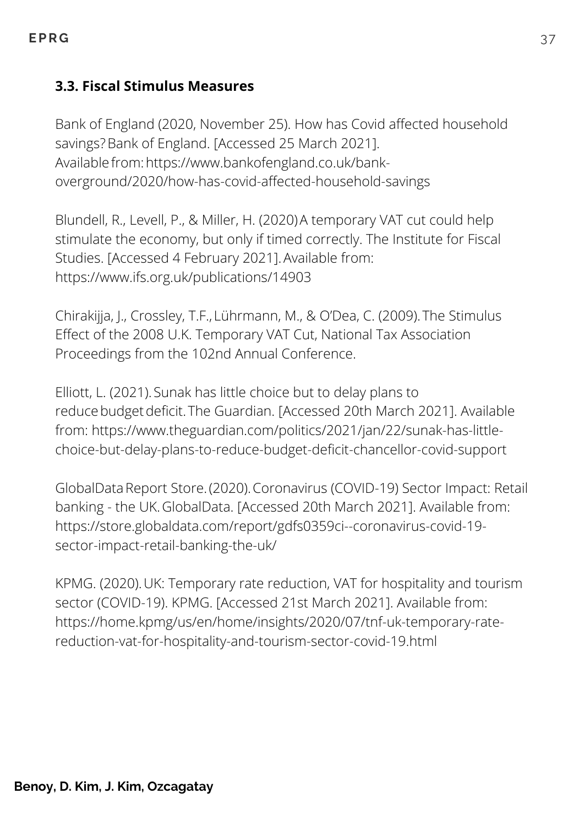#### **3.3. Fiscal Stimulus Measures**

Bank of England (2020, November 25). How has Covid affected household savings?Bank of England. [Accessed 25 March 2021]. Availablefrom:https://www.bankofengland.co.uk/bankoverground/2020/how-has-covid-affected-household-savings

Blundell, R., Levell, P., & Miller, H. (2020)A temporary VAT cut could help stimulate the economy, but only if timed correctly. The Institute for Fiscal Studies. [Accessed 4 February 2021].Available from: https://www.ifs.org.uk/publications/14903

Chirakijja, J., Crossley, T.F., Lührmann, M., & O'Dea, C. (2009).The Stimulus Effect of the 2008 U.K. Temporary VAT Cut, National Tax Association Proceedings from the 102nd Annual Conference.

Elliott, L. (2021).Sunak has little choice but to delay plans to reducebudgetdeficit.The Guardian. [Accessed 20th March 2021]. Available from: https://www.theguardian.com/politics/2021/jan/22/sunak-has-littlechoice-but-delay-plans-to-reduce-budget-deficit-chancellor-covid-support

GlobalDataReport Store.(2020).Coronavirus (COVID-19) Sector Impact: Retail banking - the UK.GlobalData. [Accessed 20th March 2021]. Available from: https://store.globaldata.com/report/gdfs0359ci--coronavirus-covid-19 sector-impact-retail-banking-the-uk/

KPMG. (2020).UK: Temporary rate reduction, VAT for hospitality and tourism sector (COVID-19). KPMG. [Accessed 21st March 2021]. Available from: https://home.kpmg/us/en/home/insights/2020/07/tnf-uk-temporary-ratereduction-vat-for-hospitality-and-tourism-sector-covid-19.html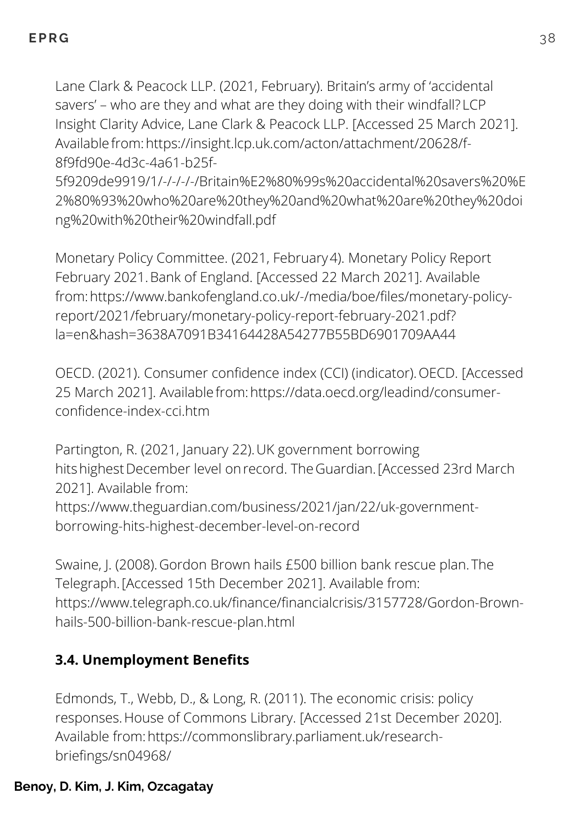Lane Clark & Peacock LLP. (2021, February). Britain's army of 'accidental savers' – who are they and what are they doing with their windfall? LCP Insight Clarity Advice, Lane Clark & Peacock LLP. [Accessed 25 March 2021]. Availablefrom:https://insight.lcp.uk.com/acton/attachment/20628/f-8f9fd90e-4d3c-4a61-b25f-

5f9209de9919/1/-/-/-/-/Britain%E2%80%99s%20accidental%20savers%20%E 2%80%93%20who%20are%20they%20and%20what%20are%20they%20doi ng%20with%20their%20windfall.pdf

Monetary Policy Committee. (2021, February4). Monetary Policy Report February 2021.Bank of England. [Accessed 22 March 2021]. Available from:https://www.bankofengland.co.uk/-/media/boe/files/monetary-policyreport/2021/february/monetary-policy-report-february-2021.pdf? la=en&hash=3638A7091B34164428A54277B55BD6901709AA44

OECD. (2021). Consumer confidence index (CCI) (indicator). OECD. [Accessed 25 March 2021]. Availablefrom:https://data.oecd.org/leadind/consumerconfidence-index-cci.htm

Partington, R. (2021, January 22).UK government borrowing hits highest December level on record. The Guardian. [Accessed 23rd March 2021]. Available from: https://www.theguardian.com/business/2021/jan/22/uk-governmentborrowing-hits-highest-december-level-on-record

Swaine, J. (2008).Gordon Brown hails £500 billion bank rescue plan.The Telegraph.[Accessed 15th December 2021]. Available from: https://www.telegraph.co.uk/finance/financialcrisis/3157728/Gordon-Brownhails-500-billion-bank-rescue-plan.html

### **3.4. Unemployment Benefits**

Edmonds, T., Webb, D., & Long, R. (2011). The economic crisis: policy responses.House of Commons Library. [Accessed 21st December 2020]. Available from:https://commonslibrary.parliament.uk/researchbriefings/sn04968/